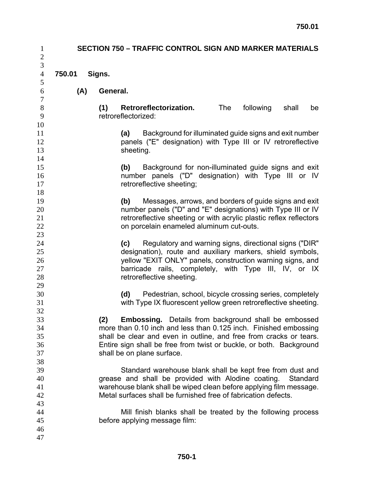| $\mathbf{1}$<br>$\sqrt{2}$       | <b>SECTION 750 - TRAFFIC CONTROL SIGN AND MARKER MATERIALS</b> |                                                                                                                                                                                                                                                |                                                                                                                                                                                                                                                                                                            |     |           |          |    |  |  |  |
|----------------------------------|----------------------------------------------------------------|------------------------------------------------------------------------------------------------------------------------------------------------------------------------------------------------------------------------------------------------|------------------------------------------------------------------------------------------------------------------------------------------------------------------------------------------------------------------------------------------------------------------------------------------------------------|-----|-----------|----------|----|--|--|--|
| 3<br>$\overline{4}$              | 750.01                                                         | Signs.                                                                                                                                                                                                                                         |                                                                                                                                                                                                                                                                                                            |     |           |          |    |  |  |  |
| 5                                |                                                                |                                                                                                                                                                                                                                                |                                                                                                                                                                                                                                                                                                            |     |           |          |    |  |  |  |
| 6<br>$\boldsymbol{7}$            | (A)                                                            | General.                                                                                                                                                                                                                                       |                                                                                                                                                                                                                                                                                                            |     |           |          |    |  |  |  |
| $8\,$<br>9<br>10                 |                                                                | (1)                                                                                                                                                                                                                                            | Retroreflectorization.<br>retroreflectorized:                                                                                                                                                                                                                                                              | The | following | shall    | be |  |  |  |
| 11<br>12<br>13<br>14             |                                                                |                                                                                                                                                                                                                                                | Background for illuminated guide signs and exit number<br>(a)<br>panels ("E" designation) with Type III or IV retroreflective<br>sheeting.                                                                                                                                                                 |     |           |          |    |  |  |  |
| 15<br>16<br>17<br>18             |                                                                |                                                                                                                                                                                                                                                | Background for non-illuminated guide signs and exit<br>(b)<br>number panels ("D" designation) with Type III or IV<br>retroreflective sheeting;                                                                                                                                                             |     |           |          |    |  |  |  |
| 19<br>20<br>21<br>22<br>23       |                                                                | Messages, arrows, and borders of guide signs and exit<br>(b)<br>number panels ("D" and "E" designations) with Type III or IV<br>retroreflective sheeting or with acrylic plastic reflex reflectors<br>on porcelain enameled aluminum cut-outs. |                                                                                                                                                                                                                                                                                                            |     |           |          |    |  |  |  |
| 24<br>25<br>26<br>27<br>28<br>29 |                                                                |                                                                                                                                                                                                                                                | Regulatory and warning signs, directional signs ("DIR"<br>(c)<br>designation), route and auxiliary markers, shield symbols,<br>yellow "EXIT ONLY" panels, construction warning signs, and<br>barricade rails, completely, with Type III, IV, or IX<br>retroreflective sheeting.                            |     |           |          |    |  |  |  |
| 30<br>31<br>32                   |                                                                |                                                                                                                                                                                                                                                | Pedestrian, school, bicycle crossing series, completely<br>(d)<br>with Type IX fluorescent yellow green retroreflective sheeting.                                                                                                                                                                          |     |           |          |    |  |  |  |
| 33<br>34<br>35<br>36<br>37<br>38 |                                                                | (2)                                                                                                                                                                                                                                            | <b>Embossing.</b> Details from background shall be embossed<br>more than 0.10 inch and less than 0.125 inch. Finished embossing<br>shall be clear and even in outline, and free from cracks or tears.<br>Entire sign shall be free from twist or buckle, or both. Background<br>shall be on plane surface. |     |           |          |    |  |  |  |
| 39<br>40<br>41<br>42             |                                                                |                                                                                                                                                                                                                                                | Standard warehouse blank shall be kept free from dust and<br>grease and shall be provided with Alodine coating.<br>warehouse blank shall be wiped clean before applying film message.<br>Metal surfaces shall be furnished free of fabrication defects.                                                    |     |           | Standard |    |  |  |  |
| 43<br>44<br>45<br>46<br>47       |                                                                |                                                                                                                                                                                                                                                | Mill finish blanks shall be treated by the following process<br>before applying message film:                                                                                                                                                                                                              |     |           |          |    |  |  |  |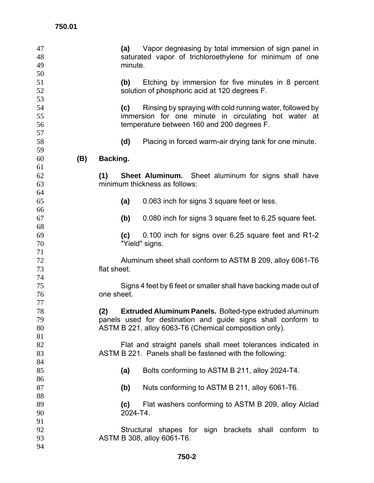| 47<br>48<br>49<br>50 |     |             | minute.         | (a) Vapor degreasing by total immersion of sign panel in<br>saturated vapor of trichloroethylene for minimum of one                                            |
|----------------------|-----|-------------|-----------------|----------------------------------------------------------------------------------------------------------------------------------------------------------------|
| 51<br>52<br>53       |     |             | (b)             | Etching by immersion for five minutes in 8 percent<br>solution of phosphoric acid at 120 degrees F.                                                            |
| 54<br>55<br>56       |     |             | (c)             | Rinsing by spraying with cold running water, followed by<br>immersion for one minute in circulating hot water at<br>temperature between 160 and 200 degrees F. |
| 57<br>58             |     |             | (d)             | Placing in forced warm-air drying tank for one minute.                                                                                                         |
| 59                   |     |             |                 |                                                                                                                                                                |
| 60<br>61             | (B) | Backing.    |                 |                                                                                                                                                                |
| 62                   |     | (1)         |                 | <b>Sheet Aluminum.</b> Sheet aluminum for signs shall have                                                                                                     |
| 63                   |     |             |                 | minimum thickness as follows:                                                                                                                                  |
| 64                   |     |             |                 |                                                                                                                                                                |
| 65                   |     |             | (a)             | 0.063 inch for signs 3 square feet or less.                                                                                                                    |
| 66                   |     |             |                 |                                                                                                                                                                |
| 67<br>68             |     |             | (b)             | 0.080 inch for signs 3 square feet to 6.25 square feet.                                                                                                        |
| 69                   |     |             | (c)             | 0.100 inch for signs over 6.25 square feet and R1-2                                                                                                            |
| 70                   |     |             |                 | "Yield" signs.                                                                                                                                                 |
| 71                   |     |             |                 |                                                                                                                                                                |
| 72                   |     |             |                 | Aluminum sheet shall conform to ASTM B 209, alloy 6061-T6                                                                                                      |
| 73                   |     | flat sheet. |                 |                                                                                                                                                                |
| 74                   |     |             |                 |                                                                                                                                                                |
| 75                   |     |             |                 | Signs 4 feet by 6 feet or smaller shall have backing made out of                                                                                               |
| 76                   |     | one sheet.  |                 |                                                                                                                                                                |
| 77                   |     |             |                 |                                                                                                                                                                |
| 78<br>79             |     | (2)         |                 | Extruded Aluminum Panels. Bolted-type extruded aluminum<br>panels used for destination and guide signs shall conform to                                        |
| 80                   |     |             |                 | ASTM B 221, alloy 6063-T6 (Chemical composition only).                                                                                                         |
| 81                   |     |             |                 |                                                                                                                                                                |
| 82                   |     |             |                 | Flat and straight panels shall meet tolerances indicated in                                                                                                    |
| 83                   |     |             |                 | ASTM B 221. Panels shall be fastened with the following:                                                                                                       |
| 84                   |     |             |                 |                                                                                                                                                                |
| 85                   |     |             | (a)             | Bolts conforming to ASTM B 211, alloy 2024-T4.                                                                                                                 |
| 86                   |     |             |                 |                                                                                                                                                                |
| 87                   |     |             | (b)             | Nuts conforming to ASTM B 211, alloy 6061-T6.                                                                                                                  |
| 88                   |     |             |                 |                                                                                                                                                                |
| 89<br>90             |     |             | (c)<br>2024-T4. | Flat washers conforming to ASTM B 209, alloy Alclad                                                                                                            |
| 91                   |     |             |                 |                                                                                                                                                                |
| 92                   |     |             |                 | Structural shapes for sign brackets shall conform to                                                                                                           |
| 93                   |     |             |                 | ASTM B 308, alloy 6061-T6.                                                                                                                                     |
| 94                   |     |             |                 |                                                                                                                                                                |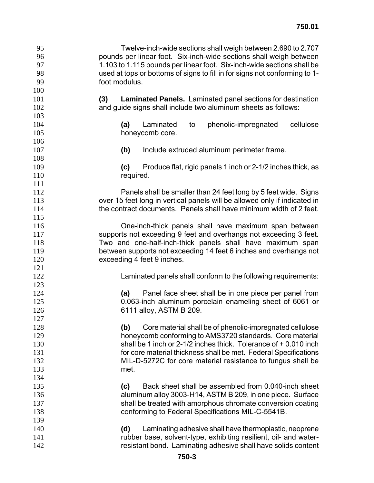| 95  | Twelve-inch-wide sections shall weigh between 2.690 to 2.707               |  |  |  |  |  |  |  |  |
|-----|----------------------------------------------------------------------------|--|--|--|--|--|--|--|--|
| 96  | pounds per linear foot. Six-inch-wide sections shall weigh between         |  |  |  |  |  |  |  |  |
| 97  | 1.103 to 1.115 pounds per linear foot. Six-inch-wide sections shall be     |  |  |  |  |  |  |  |  |
| 98  | used at tops or bottoms of signs to fill in for signs not conforming to 1- |  |  |  |  |  |  |  |  |
| 99  | foot modulus.                                                              |  |  |  |  |  |  |  |  |
| 100 |                                                                            |  |  |  |  |  |  |  |  |
| 101 | Laminated Panels. Laminated panel sections for destination<br>(3)          |  |  |  |  |  |  |  |  |
| 102 | and guide signs shall include two aluminum sheets as follows:              |  |  |  |  |  |  |  |  |
| 103 |                                                                            |  |  |  |  |  |  |  |  |
| 104 | Laminated<br>phenolic-impregnated<br>(a)<br>cellulose<br>to                |  |  |  |  |  |  |  |  |
| 105 | honeycomb core.                                                            |  |  |  |  |  |  |  |  |
| 106 |                                                                            |  |  |  |  |  |  |  |  |
| 107 | Include extruded aluminum perimeter frame.<br>(b)                          |  |  |  |  |  |  |  |  |
| 108 |                                                                            |  |  |  |  |  |  |  |  |
| 109 | Produce flat, rigid panels 1 inch or 2-1/2 inches thick, as<br>(c)         |  |  |  |  |  |  |  |  |
| 110 | required.                                                                  |  |  |  |  |  |  |  |  |
| 111 |                                                                            |  |  |  |  |  |  |  |  |
| 112 | Panels shall be smaller than 24 feet long by 5 feet wide. Signs            |  |  |  |  |  |  |  |  |
| 113 | over 15 feet long in vertical panels will be allowed only if indicated in  |  |  |  |  |  |  |  |  |
| 114 | the contract documents. Panels shall have minimum width of 2 feet.         |  |  |  |  |  |  |  |  |
| 115 |                                                                            |  |  |  |  |  |  |  |  |
| 116 | One-inch-thick panels shall have maximum span between                      |  |  |  |  |  |  |  |  |
| 117 | supports not exceeding 9 feet and overhangs not exceeding 3 feet.          |  |  |  |  |  |  |  |  |
| 118 | Two and one-half-inch-thick panels shall have maximum span                 |  |  |  |  |  |  |  |  |
| 119 | between supports not exceeding 14 feet 6 inches and overhangs not          |  |  |  |  |  |  |  |  |
| 120 | exceeding 4 feet 9 inches.                                                 |  |  |  |  |  |  |  |  |
| 121 |                                                                            |  |  |  |  |  |  |  |  |
| 122 | Laminated panels shall conform to the following requirements:              |  |  |  |  |  |  |  |  |
| 123 |                                                                            |  |  |  |  |  |  |  |  |
| 124 | Panel face sheet shall be in one piece per panel from<br>(a)               |  |  |  |  |  |  |  |  |
| 125 | 0.063-inch aluminum porcelain enameling sheet of 6061 or                   |  |  |  |  |  |  |  |  |
| 126 | 6111 alloy, ASTM B 209.                                                    |  |  |  |  |  |  |  |  |
| 127 |                                                                            |  |  |  |  |  |  |  |  |
| 128 | Core material shall be of phenolic-impregnated cellulose<br>(b)            |  |  |  |  |  |  |  |  |
| 129 | honeycomb conforming to AMS3720 standards. Core material                   |  |  |  |  |  |  |  |  |
| 130 | shall be 1 inch or 2-1/2 inches thick. Tolerance of + 0.010 inch           |  |  |  |  |  |  |  |  |
| 131 | for core material thickness shall be met. Federal Specifications           |  |  |  |  |  |  |  |  |
| 132 | MIL-D-5272C for core material resistance to fungus shall be                |  |  |  |  |  |  |  |  |
| 133 | met.                                                                       |  |  |  |  |  |  |  |  |
| 134 |                                                                            |  |  |  |  |  |  |  |  |
| 135 | Back sheet shall be assembled from 0.040-inch sheet<br>(c)                 |  |  |  |  |  |  |  |  |
| 136 | aluminum alloy 3003-H14, ASTM B 209, in one piece. Surface                 |  |  |  |  |  |  |  |  |
| 137 | shall be treated with amorphous chromate conversion coating                |  |  |  |  |  |  |  |  |
| 138 | conforming to Federal Specifications MIL-C-5541B.                          |  |  |  |  |  |  |  |  |
| 139 |                                                                            |  |  |  |  |  |  |  |  |
| 140 | Laminating adhesive shall have thermoplastic, neoprene<br>(d)              |  |  |  |  |  |  |  |  |
| 141 | rubber base, solvent-type, exhibiting resilient, oil- and water-           |  |  |  |  |  |  |  |  |
| 142 | resistant bond. Laminating adhesive shall have solids content              |  |  |  |  |  |  |  |  |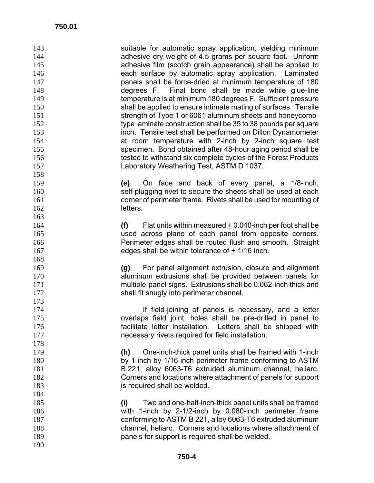| 143<br>144 | suitable for automatic spray application, yielding minimum<br>adhesive dry weight of 4.5 grams per square foot. Uniform |
|------------|-------------------------------------------------------------------------------------------------------------------------|
| 145        | adhesive film (scotch grain appearance) shall be applied to                                                             |
| 146        | each surface by automatic spray application. Laminated                                                                  |
| 147        | panels shall be force-dried at minimum temperature of 180                                                               |
| 148        | degrees F. Final bond shall be made while glue-line                                                                     |
| 149        | temperature is at minimum 180 degrees F. Sufficient pressure                                                            |
| 150        | shall be applied to ensure intimate mating of surfaces. Tensile                                                         |
| 151        | strength of Type 1 or 6061 aluminum sheets and honeycomb-                                                               |
| 152        | type laminate construction shall be 35 to 38 pounds per square                                                          |
| 153        | inch. Tensile test shall be performed on Dillon Dynamometer                                                             |
| 154        | at room temperature with 2-inch by 2-inch square test                                                                   |
| 155        | specimen. Bond obtained after 48-hour aging period shall be                                                             |
| 156        | tested to withstand six complete cycles of the Forest Products                                                          |
| 157        | Laboratory Weathering Test, ASTM D 1037.                                                                                |
| 158        |                                                                                                                         |
| 159        | On face and back of every panel, a 1/8-inch,<br>(e)                                                                     |
| 160        | self-plugging rivet to secure the sheets shall be used at each                                                          |
| 161        | corner of perimeter frame. Rivets shall be used for mounting of                                                         |
| 162        | letters.                                                                                                                |
| 163        |                                                                                                                         |
| 164        | (f) Flat units within measured $\pm$ 0.040-inch per foot shall be                                                       |
| 165        | used across plane of each panel from opposite corners.                                                                  |
| 166        | Perimeter edges shall be routed flush and smooth. Straight                                                              |
| 167        | edges shall be within tolerance of $\pm$ 1/16 inch.                                                                     |
| 168        |                                                                                                                         |
| 169        | For panel alignment extrusion, closure and alignment<br>(g)                                                             |
| 170        | aluminum extrusions shall be provided between panels for                                                                |
| 171        | multiple-panel signs. Extrusions shall be 0.062-inch thick and                                                          |
| 172        | shall fit snugly into perimeter channel.                                                                                |
| 173        |                                                                                                                         |
| 174        | If field-joining of panels is necessary, and a letter                                                                   |
| 175        | overlaps field joint, holes shall be pre-drilled in panel to                                                            |
| 176        | facilitate letter installation.<br>Letters shall be shipped with                                                        |
| 177        | necessary rivets required for field installation.                                                                       |
| 178        |                                                                                                                         |
| 179        | One-inch-thick panel units shall be framed with 1-inch<br>(h)                                                           |
| 180        | by 1-inch by 1/16-inch perimeter frame conforming to ASTM                                                               |
| 181        | B 221, alloy 6063-T6 extruded aluminum channel, heliarc.                                                                |
| 182        | Corners and locations where attachment of panels for support                                                            |
| 183        | is required shall be welded.                                                                                            |
| 184        |                                                                                                                         |
| 185        | Two and one-half-inch-thick panel units shall be framed<br>(i)                                                          |
| 186        | with 1-inch by 2-1/2-inch by 0.080-inch perimeter frame                                                                 |
| 187        | conforming to ASTM B 221, alloy 6063-T6 extruded aluminum                                                               |
| 188        | channel, heliarc. Corners and locations where attachment of                                                             |
| 189        | panels for support is required shall be welded.                                                                         |
| 190        |                                                                                                                         |
|            |                                                                                                                         |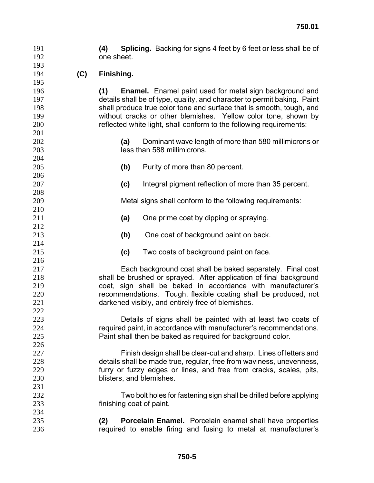**(4) Splicing.** Backing for signs 4 feet by 6 feet or less shall be of 192 one sheet.

**(C) Finishing.**

**(1) Enamel.** Enamel paint used for metal sign background and details shall be of type, quality, and character to permit baking. Paint shall produce true color tone and surface that is smooth, tough, and without cracks or other blemishes. Yellow color tone, shown by reflected white light, shall conform to the following requirements:

- **(a)** Dominant wave length of more than 580 millimicrons or less than 588 millimicrons.
- **(b)** Purity of more than 80 percent.
- **(c)** Integral pigment reflection of more than 35 percent.

Metal signs shall conform to the following requirements:

- **(a)** One prime coat by dipping or spraying.
- **(b)** One coat of background paint on back.
- **(c)** Two coats of background paint on face.

Each background coat shall be baked separately. Final coat shall be brushed or sprayed. After application of final background coat, sign shall be baked in accordance with manufacturer's recommendations. Tough, flexible coating shall be produced, not darkened visibly, and entirely free of blemishes.

Details of signs shall be painted with at least two coats of required paint, in accordance with manufacturer's recommendations. Paint shall then be baked as required for background color.

Finish design shall be clear-cut and sharp. Lines of letters and details shall be made true, regular, free from waviness, unevenness, furry or fuzzy edges or lines, and free from cracks, scales, pits, blisters, and blemishes.

- Two bolt holes for fastening sign shall be drilled before applying finishing coat of paint.
- **(2) Porcelain Enamel.** Porcelain enamel shall have properties required to enable firing and fusing to metal at manufacturer's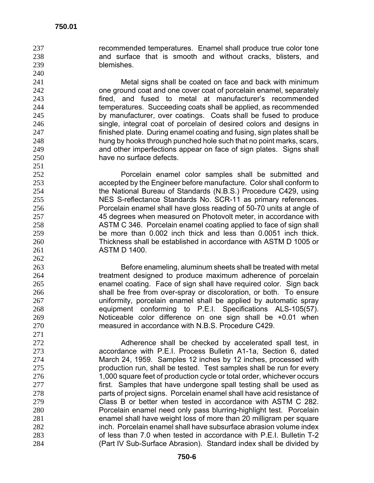recommended temperatures. Enamel shall produce true color tone and surface that is smooth and without cracks, blisters, and blemishes.

Metal signs shall be coated on face and back with minimum one ground coat and one cover coat of porcelain enamel, separately fired, and fused to metal at manufacturer's recommended temperatures. Succeeding coats shall be applied, as recommended by manufacturer, over coatings. Coats shall be fused to produce single, integral coat of porcelain of desired colors and designs in finished plate. During enamel coating and fusing, sign plates shall be hung by hooks through punched hole such that no point marks, scars, and other imperfections appear on face of sign plates. Signs shall have no surface defects.

Porcelain enamel color samples shall be submitted and accepted by the Engineer before manufacture. Color shall conform to the National Bureau of Standards (N.B.S.) Procedure C429, using NES S-reflectance Standards No. SCR-11 as primary references. Porcelain enamel shall have gloss reading of 50-70 units at angle of 45 degrees when measured on Photovolt meter, in accordance with ASTM C 346. Porcelain enamel coating applied to face of sign shall be more than 0.002 inch thick and less than 0.0051 inch thick. Thickness shall be established in accordance with ASTM D 1005 or **ASTM D 1400**.

Before enameling, aluminum sheets shall be treated with metal treatment designed to produce maximum adherence of porcelain enamel coating. Face of sign shall have required color. Sign back shall be free from over-spray or discoloration, or both. To ensure uniformity, porcelain enamel shall be applied by automatic spray equipment conforming to P.E.I. Specifications ALS-105(57). Noticeable color difference on one sign shall be +0.01 when measured in accordance with N.B.S. Procedure C429.

Adherence shall be checked by accelerated spall test, in accordance with P.E.I. Process Bulletin A1-1a, Section 6, dated March 24, 1959. Samples 12 inches by 12 inches, processed with production run, shall be tested. Test samples shall be run for every 1,000 square feet of production cycle or total order, whichever occurs **first.** Samples that have undergone spall testing shall be used as parts of project signs. Porcelain enamel shall have acid resistance of Class B or better when tested in accordance with ASTM C 282. Porcelain enamel need only pass blurring-highlight test. Porcelain enamel shall have weight loss of more than 20 milligram per square inch. Porcelain enamel shall have subsurface abrasion volume index of less than 7.0 when tested in accordance with P.E.I. Bulletin T-2 (Part IV Sub-Surface Abrasion). Standard index shall be divided by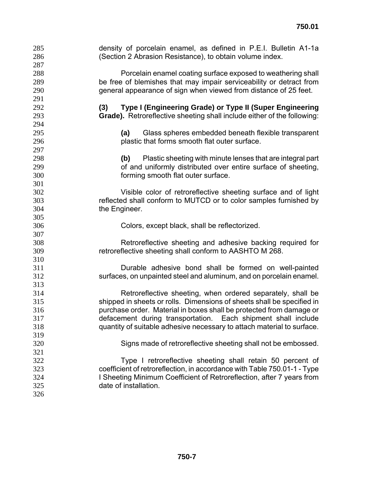| 285<br>286 | density of porcelain enamel, as defined in P.E.I. Bulletin A1-1a<br>(Section 2 Abrasion Resistance), to obtain volume index. |
|------------|------------------------------------------------------------------------------------------------------------------------------|
| 287        |                                                                                                                              |
| 288        | Porcelain enamel coating surface exposed to weathering shall                                                                 |
| 289        | be free of blemishes that may impair serviceability or detract from                                                          |
| 290        | general appearance of sign when viewed from distance of 25 feet.                                                             |
| 291        |                                                                                                                              |
| 292        | Type I (Engineering Grade) or Type II (Super Engineering<br>(3)                                                              |
| 293        | Grade). Retroreflective sheeting shall include either of the following:                                                      |
| 294        |                                                                                                                              |
| 295        | Glass spheres embedded beneath flexible transparent<br>(a)                                                                   |
| 296        | plastic that forms smooth flat outer surface.                                                                                |
| 297        |                                                                                                                              |
| 298        | Plastic sheeting with minute lenses that are integral part<br>(b)                                                            |
| 299        | of and uniformly distributed over entire surface of sheeting,                                                                |
| 300        | forming smooth flat outer surface.                                                                                           |
| 301        |                                                                                                                              |
| 302        | Visible color of retroreflective sheeting surface and of light                                                               |
| 303        | reflected shall conform to MUTCD or to color samples furnished by                                                            |
| 304        | the Engineer.                                                                                                                |
| 305        |                                                                                                                              |
| 306        | Colors, except black, shall be reflectorized.                                                                                |
| 307        |                                                                                                                              |
| 308        | Retroreflective sheeting and adhesive backing required for                                                                   |
| 309        | retroreflective sheeting shall conform to AASHTO M 268.                                                                      |
| 310        |                                                                                                                              |
| 311        | Durable adhesive bond shall be formed on well-painted                                                                        |
| 312        | surfaces, on unpainted steel and aluminum, and on porcelain enamel.                                                          |
| 313        |                                                                                                                              |
| 314        | Retroreflective sheeting, when ordered separately, shall be                                                                  |
| 315        | shipped in sheets or rolls. Dimensions of sheets shall be specified in                                                       |
| 316        | purchase order. Material in boxes shall be protected from damage or                                                          |
| 317        | defacement during transportation. Each shipment shall include                                                                |
| 318        | quantity of suitable adhesive necessary to attach material to surface.                                                       |
| 319        |                                                                                                                              |
| 320        | Signs made of retroreflective sheeting shall not be embossed.                                                                |
| 321        |                                                                                                                              |
| 322        | Type I retroreflective sheeting shall retain 50 percent of                                                                   |
| 323        | coefficient of retroreflection, in accordance with Table 750.01-1 - Type                                                     |
| 324        | I Sheeting Minimum Coefficient of Retroreflection, after 7 years from                                                        |
| 325        | date of installation.                                                                                                        |
| 326        |                                                                                                                              |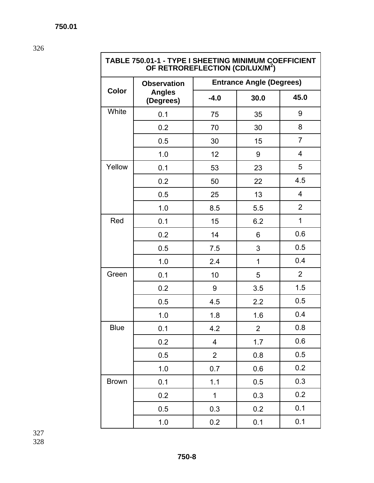**TABLE 750.01-1 - TYPE I SHEETING MINIMUM COEFFICIENT OF RETROREFLECTION (CD/LUX/M2 )** 

|              | <b>Observation</b>         | <b>Entrance Angle (Degrees)</b> |                |                |  |  |  |
|--------------|----------------------------|---------------------------------|----------------|----------------|--|--|--|
| <b>Color</b> | <b>Angles</b><br>(Degrees) | $-4.0$                          | 30.0           | 45.0           |  |  |  |
| White        | 0.1                        | 75                              | 35             | 9              |  |  |  |
|              | 0.2                        | 70                              | 30             | 8              |  |  |  |
|              | 0.5                        | 30                              | 15             | $\overline{7}$ |  |  |  |
|              | 1.0                        | 12                              | 9              | 4              |  |  |  |
| Yellow       | 0.1                        | 53                              | 23             | 5              |  |  |  |
|              | 0.2                        | 50                              | 22             | 4.5            |  |  |  |
|              | 0.5                        | 25                              | 13             | 4              |  |  |  |
|              | 1.0                        | 8.5                             | 5.5            | $\overline{2}$ |  |  |  |
| Red          | 0.1                        | 15                              | 6.2            | 1              |  |  |  |
|              | 0.2                        | 14                              | 6              | 0.6            |  |  |  |
|              | 0.5                        | 7.5                             | 3              | 0.5            |  |  |  |
|              | 1.0                        | 2.4                             | 1              | 0.4            |  |  |  |
| Green        | 0.1                        | 10                              | 5              | $\overline{2}$ |  |  |  |
|              | 0.2                        | 9                               | 3.5            | 1.5            |  |  |  |
|              | 0.5                        | 4.5                             | 2.2            | 0.5            |  |  |  |
|              | 1.0                        | 1.8                             | 1.6            | 0.4            |  |  |  |
| <b>Blue</b>  | 0.1                        | 4.2                             | $\overline{2}$ | 0.8            |  |  |  |
|              | 0.2                        | $\overline{\mathbf{4}}$         | 1.7            | 0.6            |  |  |  |
|              | 0.5                        | $\overline{2}$                  | 0.8            | 0.5            |  |  |  |
|              | 1.0                        | 0.7                             | 0.6            | 0.2            |  |  |  |
| <b>Brown</b> | 0.1                        | 1.1                             | 0.5            | 0.3            |  |  |  |
|              | 0.2                        | $\mathbf 1$                     | 0.3            | 0.2            |  |  |  |
|              | 0.5                        | 0.3                             | 0.2            | 0.1            |  |  |  |
|              | 1.0                        | 0.2                             | 0.1            | 0.1            |  |  |  |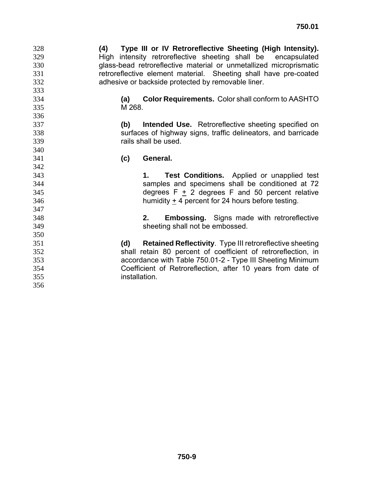**(4) Type III or IV Retroreflective Sheeting (High Intensity).** High intensity retroreflective sheeting shall be encapsulated glass-bead retroreflective material or unmetallized microprismatic retroreflective element material. Sheeting shall have pre-coated adhesive or backside protected by removable liner.

- **(a) Color Requirements.** Color shall conform to AASHTO M 268.
- **(b) Intended Use.** Retroreflective sheeting specified on surfaces of highway signs, traffic delineators, and barricade rails shall be used.
- **(c) General.**

- **1. Test Conditions.** Applied or unapplied test samples and specimens shall be conditioned at 72 degrees F + 2 degrees F and 50 percent relative humidity + 4 percent for 24 hours before testing.
- **2. Embossing.** Signs made with retroreflective sheeting shall not be embossed.
- **(d) Retained Reflectivity**. Type III retroreflective sheeting shall retain 80 percent of coefficient of retroreflection, in accordance with Table 750.01-2 - Type III Sheeting Minimum Coefficient of Retroreflection, after 10 years from date of installation.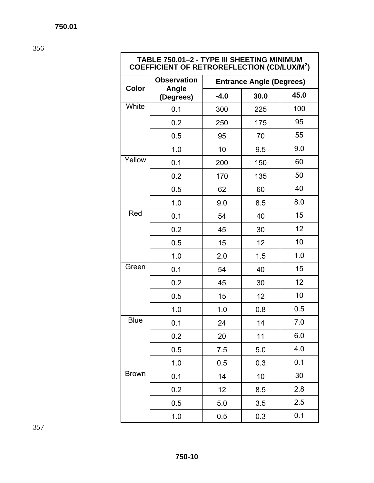**TABLE 750.01–2 - TYPE III SHEETING MINIMUM COEFFICIENT OF RETROREFLECTION (CD/LUX/M2 )** 

|              | <b>Observation</b> | <b>Entrance Angle (Degrees)</b> |      |      |  |  |  |
|--------------|--------------------|---------------------------------|------|------|--|--|--|
| <b>Color</b> | Angle<br>(Degrees) | $-4.0$                          | 30.0 | 45.0 |  |  |  |
| White        | 0.1                | 300                             | 225  | 100  |  |  |  |
|              | 0.2                | 250                             | 175  | 95   |  |  |  |
|              | 0.5                | 95                              | 70   | 55   |  |  |  |
|              | 1.0                | 10                              | 9.5  | 9.0  |  |  |  |
| Yellow       | 0.1                | 200                             | 150  | 60   |  |  |  |
|              | 0.2                | 170                             | 135  | 50   |  |  |  |
|              | 0.5                | 62                              | 60   | 40   |  |  |  |
|              | 1.0                | 9.0                             | 8.5  | 8.0  |  |  |  |
| Red          | 0.1                | 54                              | 40   | 15   |  |  |  |
|              | 0.2                | 45                              | 30   | 12   |  |  |  |
|              | 0.5                | 15                              | 12   | 10   |  |  |  |
|              | 1.0                | 2.0                             | 1.5  | 1.0  |  |  |  |
| Green        | 0.1                | 54                              | 40   | 15   |  |  |  |
|              | 0.2                | 45                              | 30   | 12   |  |  |  |
|              | 0.5                | 15                              | 12   | 10   |  |  |  |
|              | 1.0                | 1.0                             | 0.8  | 0.5  |  |  |  |
| <b>Blue</b>  | 0.1                | 24                              | 14   | 7.0  |  |  |  |
|              | 0.2                | 20                              | 11   | 6.0  |  |  |  |
|              | 0.5                | 7.5                             | 5.0  | 4.0  |  |  |  |
|              | 1.0                | 0.5                             | 0.3  | 0.1  |  |  |  |
| <b>Brown</b> | 0.1                | 14                              | 10   | 30   |  |  |  |
|              | 0.2                | 12                              | 8.5  | 2.8  |  |  |  |
|              | 0.5                | 5.0                             | 3.5  | 2.5  |  |  |  |
|              | 1.0                | 0.5                             | 0.3  | 0.1  |  |  |  |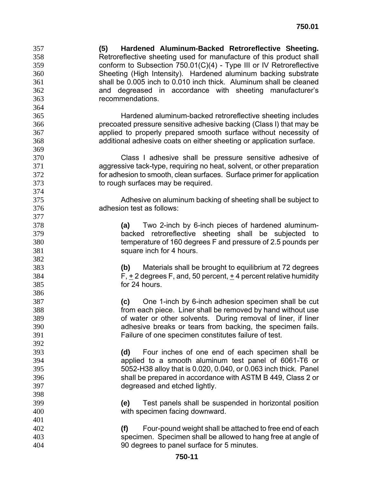**(5) Hardened Aluminum-Backed Retroreflective Sheeting.** Retroreflective sheeting used for manufacture of this product shall conform to Subsection 750.01(C)(4) - Type III or IV Retroreflective Sheeting (High Intensity). Hardened aluminum backing substrate shall be 0.005 inch to 0.010 inch thick. Aluminum shall be cleaned and degreased in accordance with sheeting manufacturer's recommendations.

Hardened aluminum-backed retroreflective sheeting includes precoated pressure sensitive adhesive backing (Class l) that may be applied to properly prepared smooth surface without necessity of additional adhesive coats on either sheeting or application surface.

Class I adhesive shall be pressure sensitive adhesive of aggressive tack-type, requiring no heat, solvent, or other preparation for adhesion to smooth, clean surfaces. Surface primer for application to rough surfaces may be required.

Adhesive on aluminum backing of sheeting shall be subject to adhesion test as follows:

**(a)** Two 2-inch by 6-inch pieces of hardened aluminum-backed retroreflective sheeting shall be subjected to temperature of 160 degrees F and pressure of 2.5 pounds per square inch for 4 hours.

**(b)** Materials shall be brought to equilibrium at 72 degrees F, + 2 degrees F, and, 50 percent, + 4 percent relative humidity for 24 hours.

**(c)** One 1-inch by 6-inch adhesion specimen shall be cut from each piece. Liner shall be removed by hand without use of water or other solvents. During removal of liner, if liner adhesive breaks or tears from backing, the specimen fails. Failure of one specimen constitutes failure of test.

**(d)** Four inches of one end of each specimen shall be applied to a smooth aluminum test panel of 6061-T6 or 5052-H38 alloy that is 0.020, 0.040, or 0.063 inch thick. Panel shall be prepared in accordance with ASTM B 449, Class 2 or degreased and etched lightly.

**(e)** Test panels shall be suspended in horizontal position with specimen facing downward.

**(f)** Four-pound weight shall be attached to free end of each specimen. Specimen shall be allowed to hang free at angle of 90 degrees to panel surface for 5 minutes.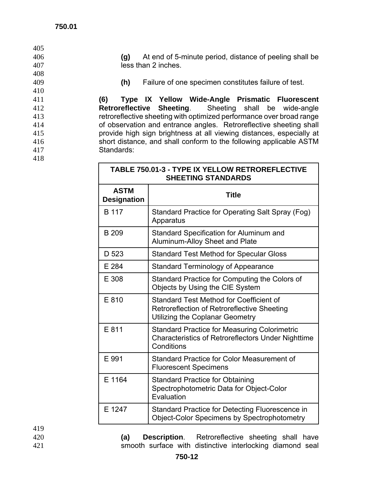#### **750.01**

| 405 |                                                                      |
|-----|----------------------------------------------------------------------|
| 406 | At end of 5-minute period, distance of peeling shall be<br>(g)       |
| 407 | less than 2 inches.                                                  |
| 408 |                                                                      |
| 409 | Failure of one specimen constitutes failure of test.<br>(h)          |
| 410 |                                                                      |
| 411 | Type IX Yellow Wide-Angle Prismatic Fluorescent<br>(6)               |
| 412 | Retroreflective Sheeting. Sheeting shall be wide-angle               |
| 413 | retroreflective sheeting with optimized performance over broad range |
| 414 | of observation and entrance angles. Retroreflective sheeting shall   |
| 415 | provide high sign brightness at all viewing distances, especially at |
| 416 | short distance, and shall conform to the following applicable ASTM   |
| 417 | Standards:                                                           |
| 418 |                                                                      |
|     | TABLE 750.01-3 - TYPE IX YELLOW RETROREFLECTIVE                      |

| <b>SHEETING STANDARDS</b>                         |                                                                                                                                |  |  |  |  |  |  |
|---------------------------------------------------|--------------------------------------------------------------------------------------------------------------------------------|--|--|--|--|--|--|
| <b>ASTM</b><br><b>Title</b><br><b>Designation</b> |                                                                                                                                |  |  |  |  |  |  |
| B 117                                             | Standard Practice for Operating Salt Spray (Fog)<br>Apparatus                                                                  |  |  |  |  |  |  |
| B 209                                             | Standard Specification for Aluminum and<br>Aluminum-Alloy Sheet and Plate                                                      |  |  |  |  |  |  |
| D 523                                             | <b>Standard Test Method for Specular Gloss</b>                                                                                 |  |  |  |  |  |  |
| E 284                                             | <b>Standard Terminology of Appearance</b>                                                                                      |  |  |  |  |  |  |
| E 308                                             | Standard Practice for Computing the Colors of<br>Objects by Using the CIE System                                               |  |  |  |  |  |  |
| E 810                                             | Standard Test Method for Coefficient of<br>Retroreflection of Retroreflective Sheeting<br>Utilizing the Coplanar Geometry      |  |  |  |  |  |  |
| E 811                                             | <b>Standard Practice for Measuring Colorimetric</b><br><b>Characteristics of Retroreflectors Under Nighttime</b><br>Conditions |  |  |  |  |  |  |
| E 991                                             | Standard Practice for Color Measurement of<br><b>Fluorescent Specimens</b>                                                     |  |  |  |  |  |  |
| E 1164                                            | <b>Standard Practice for Obtaining</b><br>Spectrophotometric Data for Object-Color<br>Evaluation                               |  |  |  |  |  |  |
| E 1247                                            | Standard Practice for Detecting Fluorescence in<br><b>Object-Color Specimens by Spectrophotometry</b>                          |  |  |  |  |  |  |

419

420 **(a) Description**. Retroreflective sheeting shall have 421 **smooth surface with distinctive interlocking diamond seal**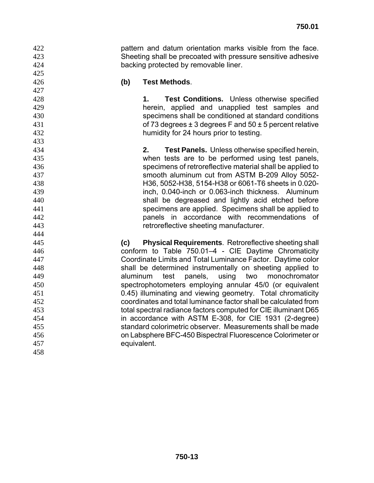pattern and datum orientation marks visible from the face. Sheeting shall be precoated with pressure sensitive adhesive backing protected by removable liner.

 

## **(b) Test Methods**.

**1. Test Conditions.** Unless otherwise specified herein, applied and unapplied test samples and specimens shall be conditioned at standard conditions of 73 degrees ± 3 degrees F and 50 ± 5 percent relative humidity for 24 hours prior to testing.

**2. Test Panels.** Unless otherwise specified herein, when tests are to be performed using test panels, specimens of retroreflective material shall be applied to smooth aluminum cut from ASTM B-209 Alloy 5052- H36, 5052-H38, 5154-H38 or 6061-T6 sheets in 0.020- inch, 0.040-inch or 0.063-inch thickness. Aluminum shall be degreased and lightly acid etched before specimens are applied. Specimens shall be applied to panels in accordance with recommendations of retroreflective sheeting manufacturer.

**(c) Physical Requirements**. Retroreflective sheeting shall conform to Table 750.01–4 - CIE Daytime Chromaticity Coordinate Limits and Total Luminance Factor. Daytime color shall be determined instrumentally on sheeting applied to aluminum test panels, using two monochromator spectrophotometers employing annular 45/0 (or equivalent 0.45) illuminating and viewing geometry. Total chromaticity coordinates and total luminance factor shall be calculated from total spectral radiance factors computed for CIE illuminant D65 in accordance with ASTM E-308, for CIE 1931 (2-degree) standard colorimetric observer. Measurements shall be made on Labsphere BFC-450 Bispectral Fluorescence Colorimeter or equivalent.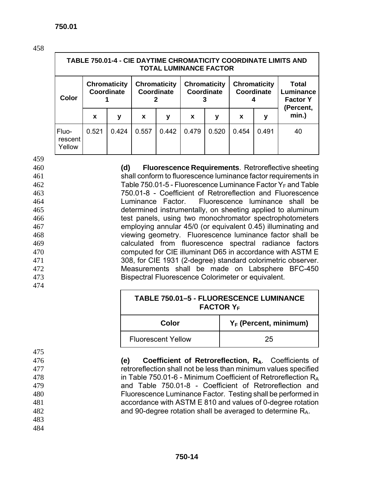| <b>TABLE 750.01-4 - CIE DAYTIME CHROMATICITY COORDINATE LIMITS AND</b><br><b>TOTAL LUMINANCE FACTOR</b> |                                   |       |                                   |       |                                   |       |                                   |       |                                              |
|---------------------------------------------------------------------------------------------------------|-----------------------------------|-------|-----------------------------------|-------|-----------------------------------|-------|-----------------------------------|-------|----------------------------------------------|
| Color                                                                                                   | <b>Chromaticity</b><br>Coordinate |       | <b>Chromaticity</b><br>Coordinate |       | <b>Chromaticity</b><br>Coordinate |       | <b>Chromaticity</b><br>Coordinate |       | <b>Total</b><br>Luminance<br><b>Factor Y</b> |
|                                                                                                         | X                                 | у     | X                                 | у     | X                                 | У     | X                                 | У     | (Percent,<br>min.)                           |
| Fluo-<br>rescent<br>Yellow                                                                              | 0.521                             | 0.424 | 0.557                             | 0.442 | 0.479                             | 0.520 | 0.454                             | 0.491 | 40                                           |

459

**(d) Fluorescence Requirements**. Retroreflective sheeting shall conform to fluorescence luminance factor requirements in 462 Table 750.01-5 - Fluorescence Luminance Factor  $Y_F$  and Table 750.01-8 - Coefficient of Retroreflection and Fluorescence Luminance Factor. Fluorescence luminance shall be determined instrumentally, on sheeting applied to aluminum test panels, using two monochromator spectrophotometers employing annular 45/0 (or equivalent 0.45) illuminating and viewing geometry. Fluorescence luminance factor shall be calculated from fluorescence spectral radiance factors computed for CIE illuminant D65 in accordance with ASTM E 308, for CIE 1931 (2-degree) standard colorimetric observer. Measurements shall be made on Labsphere BFC-450 Bispectral Fluorescence Colorimeter or equivalent.

| <b>TABLE 750.01-5 - FLUORESCENCE LUMINANCE</b><br><b>FACTOR Y<sub>F</sub></b> |    |  |  |  |  |  |
|-------------------------------------------------------------------------------|----|--|--|--|--|--|
| $Y_F$ (Percent, minimum)<br>Color                                             |    |  |  |  |  |  |
| <b>Fluorescent Yellow</b>                                                     | 25 |  |  |  |  |  |

475

474

**(e) Coefficient of Retroreflection, RA**. Coefficients of retroreflection shall not be less than minimum values specified in Table 750.01-6 - Minimum Coefficient of Retroreflection RA and Table 750.01-8 - Coefficient of Retroreflection and

480 Fluorescence Luminance Factor. Testing shall be performed in

481 accordance with ASTM E 810 and values of 0-degree rotation 482 and 90-degree rotation shall be averaged to determine RA.

483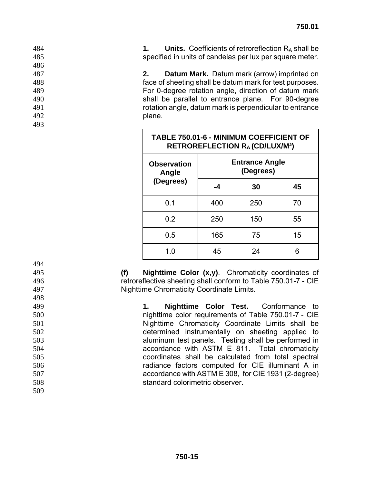| 484 |  | <b>Units.</b> Coefficients of retroreflection $R_A$ shall be |  |
|-----|--|--------------------------------------------------------------|--|
| 485 |  | specified in units of candelas per lux per square meter.     |  |

**2. Datum Mark.** Datum mark (arrow) imprinted on face of sheeting shall be datum mark for test purposes. For 0-degree rotation angle, direction of datum mark shall be parallel to entrance plane. For 90-degree rotation angle, datum mark is perpendicular to entrance **plane.** 

| <b>TABLE 750.01-6 - MINIMUM COEFFICIENT OF</b><br><b>RETROREFLECTION RA (CD/LUX/M2)</b> |                                    |     |    |  |  |
|-----------------------------------------------------------------------------------------|------------------------------------|-----|----|--|--|
| <b>Observation</b><br>Angle                                                             | <b>Entrance Angle</b><br>(Degrees) |     |    |  |  |
| (Degrees)                                                                               | -4                                 | 30  | 45 |  |  |
| 0.1                                                                                     | 400                                | 250 | 70 |  |  |
| 0.2                                                                                     | 250                                | 150 | 55 |  |  |
| 0.5                                                                                     | 165                                | 75  | 15 |  |  |
| 1.0                                                                                     | 45                                 | 24  |    |  |  |

**(f) Nighttime Color (x,y)**. Chromaticity coordinates of retroreflective sheeting shall conform to Table 750.01-7 - CIE Nighttime Chromaticity Coordinate Limits.

**1. Nighttime Color Test.** Conformance to nighttime color requirements of Table 750.01-7 - CIE Nighttime Chromaticity Coordinate Limits shall be determined instrumentally on sheeting applied to aluminum test panels. Testing shall be performed in accordance with ASTM E 811. Total chromaticity coordinates shall be calculated from total spectral radiance factors computed for CIE illuminant A in accordance with ASTM E 308, for CIE 1931 (2-degree) standard colorimetric observer.

| 495 |  |  |
|-----|--|--|
| 496 |  |  |
| 497 |  |  |
| 498 |  |  |
| 499 |  |  |
| 500 |  |  |
| 501 |  |  |
| 502 |  |  |
| 503 |  |  |
| 504 |  |  |
| 505 |  |  |
| -   |  |  |

 **750-15**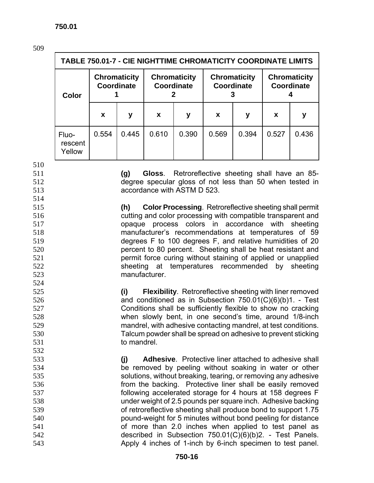| <b>SALE</b>             |  |
|-------------------------|--|
| ۰.<br>I<br>۰.<br>v<br>× |  |

|                            | <b>TABLE 750.01-7 - CIE NIGHTTIME CHROMATICITY COORDINATE LIMITS</b> |                                                                        |       |                                          |       |                                   |       |       |
|----------------------------|----------------------------------------------------------------------|------------------------------------------------------------------------|-------|------------------------------------------|-------|-----------------------------------|-------|-------|
| Color                      |                                                                      | <b>Chromaticity</b><br><b>Chromaticity</b><br>Coordinate<br>Coordinate |       | <b>Chromaticity</b><br><b>Coordinate</b> |       | <b>Chromaticity</b><br>Coordinate |       |       |
|                            | X                                                                    | у                                                                      | X     | у                                        | X     | у                                 | X     | у     |
| Fluo-<br>rescent<br>Yellow | 0.554                                                                | 0.445                                                                  | 0.610 | 0.390                                    | 0.569 | 0.394                             | 0.527 | 0.436 |

percent to 80 percent. Sheeting shall be heat resistant and permit force curing without staining of applied or unapplied sheeting at temperatures recommended by sheeting

**(i) Flexibility**. Retroreflective sheeting with liner removed and conditioned as in Subsection 750.01(C)(6)(b)1. - Test Conditions shall be sufficiently flexible to show no cracking when slowly bent, in one second's time, around 1/8-inch mandrel, with adhesive contacting mandrel, at test conditions. Talcum powder shall be spread on adhesive to prevent sticking

**(j) Adhesive**. Protective liner attached to adhesive shall be removed by peeling without soaking in water or other solutions, without breaking, tearing, or removing any adhesive from the backing. Protective liner shall be easily removed following accelerated storage for 4 hours at 158 degrees F under weight of 2.5 pounds per square inch. Adhesive backing of retroreflective sheeting shall produce bond to support 1.75 pound-weight for 5 minutes without bond peeling for distance of more than 2.0 inches when applied to test panel as described in Subsection 750.01(C)(6)(b)2. - Test Panels. Apply 4 inches of 1-inch by 6-inch specimen to test panel.

 **750-16** 

**(g) Gloss**. Retroreflective sheeting shall have an 85-

degree specular gloss of not less than 50 when tested in accordance with ASTM D 523.

**(h) Color Processing**. Retroreflective sheeting shall permit

manufacturer's recommendations at temperatures of 59

degrees F to 100 degrees F, and relative humidities of 20

cutting and color processing with compatible transparent and

opaque process colors in accordance with sheeting

manufacturer.

to mandrel.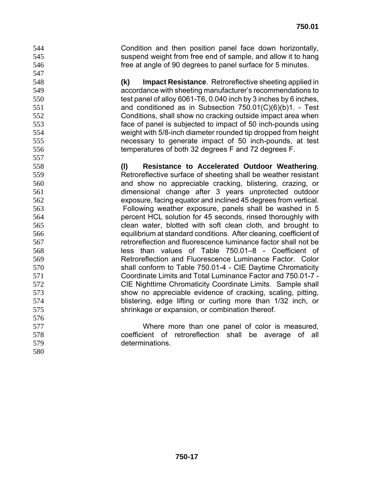Condition and then position panel face down horizontally, suspend weight from free end of sample, and allow it to hang free at angle of 90 degrees to panel surface for 5 minutes.

**(k) Impact Resistance**. Retroreflective sheeting applied in accordance with sheeting manufacturer's recommendations to test panel of alloy 6061-T6, 0.040 inch by 3 inches by 6 inches, and conditioned as in Subsection 750.01(C)(6)(b)1. - Test Conditions, shall show no cracking outside impact area when face of panel is subjected to impact of 50 inch-pounds using weight with 5/8-inch diameter rounded tip dropped from height necessary to generate impact of 50 inch-pounds, at test temperatures of both 32 degrees F and 72 degrees F.

**(l) Resistance to Accelerated Outdoor Weathering**. Retroreflective surface of sheeting shall be weather resistant and show no appreciable cracking, blistering, crazing, or dimensional change after 3 years unprotected outdoor exposure, facing equator and inclined 45 degrees from vertical. Following weather exposure, panels shall be washed in 5 percent HCL solution for 45 seconds, rinsed thoroughly with clean water, blotted with soft clean cloth, and brought to equilibrium at standard conditions. After cleaning, coefficient of retroreflection and fluorescence luminance factor shall not be less than values of Table 750.01–8 - Coefficient of Retroreflection and Fluorescence Luminance Factor. Color shall conform to Table 750.01-4 - CIE Daytime Chromaticity Coordinate Limits and Total Luminance Factor and 750.01-7 - CIE Nighttime Chromaticity Coordinate Limits. Sample shall show no appreciable evidence of cracking, scaling, pitting, blistering, edge lifting or curling more than 1/32 inch, or shrinkage or expansion, or combination thereof.

Where more than one panel of color is measured, coefficient of retroreflection shall be average of all determinations.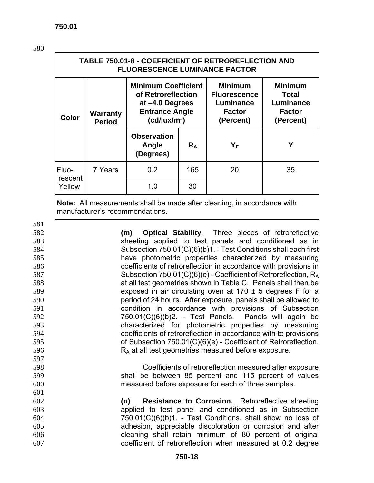581

597

601

| <b>TABLE 750.01-8 - COEFFICIENT OF RETROREFLECTION AND</b><br><b>FLUORESCENCE LUMINANCE FACTOR</b> |                                  |                                                                                                                          |       |                                                                                  |                                                                    |  |  |
|----------------------------------------------------------------------------------------------------|----------------------------------|--------------------------------------------------------------------------------------------------------------------------|-------|----------------------------------------------------------------------------------|--------------------------------------------------------------------|--|--|
| <b>Color</b>                                                                                       | <b>Warranty</b><br><b>Period</b> | <b>Minimum Coefficient</b><br>of Retroreflection<br>at -4.0 Degrees<br><b>Entrance Angle</b><br>(cd/lux/m <sup>2</sup> ) |       | <b>Minimum</b><br><b>Fluorescence</b><br>Luminance<br><b>Factor</b><br>(Percent) | <b>Minimum</b><br>Total<br>Luminance<br><b>Factor</b><br>(Percent) |  |  |
|                                                                                                    |                                  | <b>Observation</b><br>Angle<br>(Degrees)                                                                                 | $R_A$ | YF                                                                               | Υ                                                                  |  |  |
| Fluo-                                                                                              | 7 Years                          | 0.2                                                                                                                      | 165   | 20                                                                               | 35                                                                 |  |  |
| rescent<br>Yellow                                                                                  |                                  | 30<br>1.0                                                                                                                |       |                                                                                  |                                                                    |  |  |
| <b>Note:</b> All measurements shall be made after cleaning, in accordance with                     |                                  |                                                                                                                          |       |                                                                                  |                                                                    |  |  |

manufacturer's recommendations.

**(m) Optical Stability**. Three pieces of retroreflective sheeting applied to test panels and conditioned as in Subsection 750.01(C)(6)(b)1. - Test Conditions shall each first have photometric properties characterized by measuring coefficients of retroreflection in accordance with provisions in Subsection 750.01(C)(6)(e) - Coefficient of Retroreflection, RA at all test geometries shown in Table C. Panels shall then be exposed in air circulating oven at 170 ± 5 degrees F for a period of 24 hours. After exposure, panels shall be allowed to condition in accordance with provisions of Subsection 750.01(C)(6)(b)2. - Test Panels. Panels will again be characterized for photometric properties by measuring coefficients of retroreflection in accordance with to provisions of Subsection 750.01(C)(6)(e) - Coefficient of Retroreflection, 596 R<sub>A</sub> at all test geometries measured before exposure.

598 Coefficients of retroreflection measured after exposure 599 shall be between 85 percent and 115 percent of values 600 measured before exposure for each of three samples.

**(n) Resistance to Corrosion.** Retroreflective sheeting applied to test panel and conditioned as in Subsection 750.01(C)(6)(b)1. - Test Conditions, shall show no loss of adhesion, appreciable discoloration or corrosion and after cleaning shall retain minimum of 80 percent of original coefficient of retroreflection when measured at 0.2 degree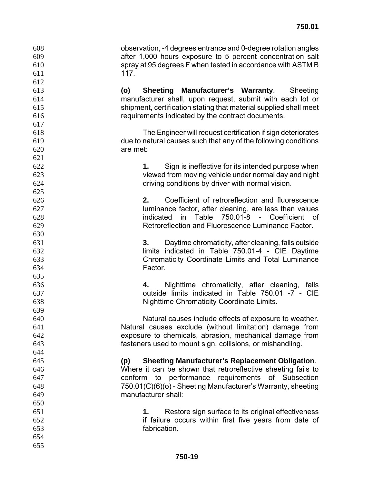observation, -4 degrees entrance and 0-degree rotation angles after 1,000 hours exposure to 5 percent concentration salt spray at 95 degrees F when tested in accordance with ASTM B 117.

**(o) Sheeting Manufacturer's Warranty**. Sheeting manufacturer shall, upon request, submit with each lot or shipment, certification stating that material supplied shall meet requirements indicated by the contract documents.

The Engineer will request certification if sign deteriorates due to natural causes such that any of the following conditions are met:

**1.** Sign is ineffective for its intended purpose when viewed from moving vehicle under normal day and night driving conditions by driver with normal vision.

**2.** Coefficient of retroreflection and fluorescence luminance factor, after cleaning, are less than values indicated in Table 750.01-8 - Coefficient of Retroreflection and Fluorescence Luminance Factor.

**3.** Daytime chromaticity, after cleaning, falls outside limits indicated in Table 750.01-4 - CIE Daytime Chromaticity Coordinate Limits and Total Luminance Factor.

**4.** Nighttime chromaticity, after cleaning, falls outside limits indicated in Table 750.01 -7 - CIE Nighttime Chromaticity Coordinate Limits.

Natural causes include effects of exposure to weather. Natural causes exclude (without limitation) damage from exposure to chemicals, abrasion, mechanical damage from fasteners used to mount sign, collisions, or mishandling.

**(p) Sheeting Manufacturer's Replacement Obligation**. Where it can be shown that retroreflective sheeting fails to conform to performance requirements of Subsection 750.01(C)(6)(o) - Sheeting Manufacturer's Warranty, sheeting manufacturer shall:

- **1.** Restore sign surface to its original effectiveness if failure occurs within first five years from date of fabrication.
-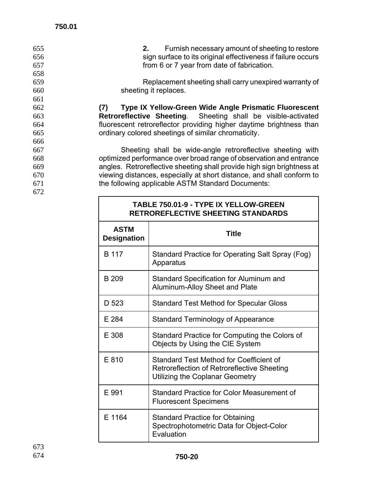| 655 | Furnish necessary amount of sheeting to restore<br>2.                  |
|-----|------------------------------------------------------------------------|
| 656 | sign surface to its original effectiveness if failure occurs           |
| 657 | from 6 or 7 year from date of fabrication.                             |
| 658 |                                                                        |
| 659 | Replacement sheeting shall carry unexpired warranty of                 |
| 660 | sheeting it replaces.                                                  |
| 661 |                                                                        |
| 662 | Type IX Yellow-Green Wide Angle Prismatic Fluorescent<br>(7)           |
| 663 | Retroreflective Sheeting. Sheeting shall be visible-activated          |
| 664 | fluorescent retroreflector providing higher daytime brightness than    |
| 665 | ordinary colored sheetings of similar chromaticity.                    |
| 666 |                                                                        |
| 667 | Sheeting shall be wide-angle retroreflective sheeting with             |
| 668 | optimized performance over broad range of observation and entrance     |
| 669 | angles. Retroreflective sheeting shall provide high sign brightness at |
| 670 | viewing distances, especially at short distance, and shall conform to  |
| 671 | the following applicable ASTM Standard Documents:                      |
| 672 |                                                                        |
|     | TABLE 750.01-9 - TYPE IX YELLOW-GREEN                                  |

| <b>TABLE 750.01-9 - TYPE IX YELLOW-GREEN</b><br>RETROREFLECTIVE SHEETING STANDARDS |                                                                                                                           |  |  |  |
|------------------------------------------------------------------------------------|---------------------------------------------------------------------------------------------------------------------------|--|--|--|
| <b>ASTM</b><br><b>Designation</b>                                                  | <b>Title</b>                                                                                                              |  |  |  |
| B 117                                                                              | Standard Practice for Operating Salt Spray (Fog)<br>Apparatus                                                             |  |  |  |
| <b>B</b> 209                                                                       | Standard Specification for Aluminum and<br>Aluminum-Alloy Sheet and Plate                                                 |  |  |  |
| D 523                                                                              | <b>Standard Test Method for Specular Gloss</b>                                                                            |  |  |  |
| E 284                                                                              | <b>Standard Terminology of Appearance</b>                                                                                 |  |  |  |
| E 308                                                                              | Standard Practice for Computing the Colors of<br>Objects by Using the CIE System                                          |  |  |  |
| E 810                                                                              | Standard Test Method for Coefficient of<br>Retroreflection of Retroreflective Sheeting<br>Utilizing the Coplanar Geometry |  |  |  |
| E 991                                                                              | Standard Practice for Color Measurement of<br><b>Fluorescent Specimens</b>                                                |  |  |  |
| E 1164                                                                             | <b>Standard Practice for Obtaining</b><br>Spectrophotometric Data for Object-Color<br>Evaluation                          |  |  |  |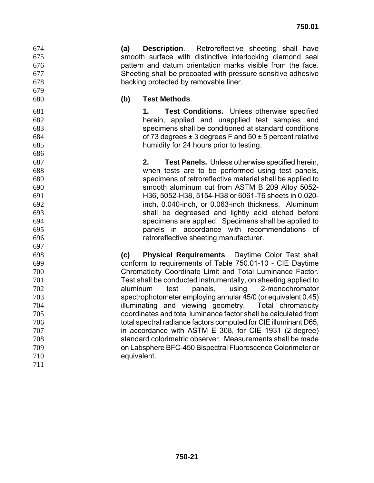**(a) Description**. Retroreflective sheeting shall have smooth surface with distinctive interlocking diamond seal pattern and datum orientation marks visible from the face. Sheeting shall be precoated with pressure sensitive adhesive backing protected by removable liner.

## **(b) Test Methods**.

**1. Test Conditions.** Unless otherwise specified herein, applied and unapplied test samples and specimens shall be conditioned at standard conditions of 73 degrees ± 3 degrees F and 50 ± 5 percent relative humidity for 24 hours prior to testing.

**2. Test Panels.** Unless otherwise specified herein, when tests are to be performed using test panels, specimens of retroreflective material shall be applied to smooth aluminum cut from ASTM B 209 Alloy 5052- H36, 5052-H38, 5154-H38 or 6061-T6 sheets in 0.020- inch, 0.040-inch, or 0.063-inch thickness. Aluminum shall be degreased and lightly acid etched before specimens are applied. Specimens shall be applied to panels in accordance with recommendations of retroreflective sheeting manufacturer.

**(c) Physical Requirements**. Daytime Color Test shall conform to requirements of Table 750.01-10 - CIE Daytime Chromaticity Coordinate Limit and Total Luminance Factor. Test shall be conducted instrumentally, on sheeting applied to aluminum test panels, using 2-monochromator spectrophotometer employing annular 45/0 (or equivalent 0.45) illuminating and viewing geometry. Total chromaticity coordinates and total luminance factor shall be calculated from total spectral radiance factors computed for CIE illuminant D65, in accordance with ASTM E 308, for CIE 1931 (2-degree) standard colorimetric observer. Measurements shall be made on Labsphere BFC-450 Bispectral Fluorescence Colorimeter or equivalent.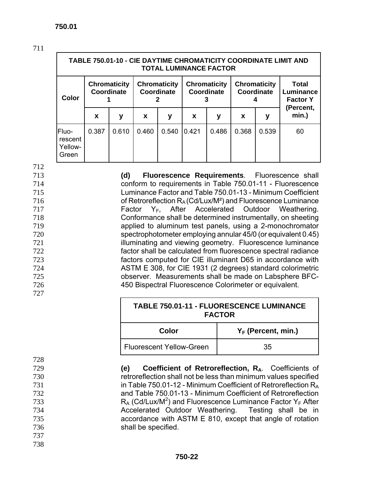|                                      | TABLE 750.01-10 - CIE DAYTIME CHROMATICITY COORDINATE LIMIT AND<br><b>TOTAL LUMINANCE FACTOR</b> |       |                                                                        |       |       |                                   |       |                                       |                    |
|--------------------------------------|--------------------------------------------------------------------------------------------------|-------|------------------------------------------------------------------------|-------|-------|-----------------------------------|-------|---------------------------------------|--------------------|
| Color                                | <b>Chromaticity</b><br><b>Coordinate</b>                                                         |       | <b>Chromaticity</b><br><b>Chromaticity</b><br>Coordinate<br>Coordinate |       |       | <b>Chromaticity</b><br>Coordinate |       | Total<br>Luminance<br><b>Factor Y</b> |                    |
|                                      | X                                                                                                | у     | $\mathbf x$                                                            | у     | X     | у                                 | X     | у                                     | (Percent,<br>min.) |
| Fluo-<br>rescent<br>Yellow-<br>Green | 0.387                                                                                            | 0.610 | 0.460                                                                  | 0.540 | 0.421 | 0.486                             | 0.368 | 0.539                                 | 60                 |

712

727

728

737 738

**(d) Fluorescence Requirements**. Fluorescence shall conform to requirements in Table 750.01-11 - Fluorescence Luminance Factor and Table 750.01-13 - Minimum Coefficient of Retroreflection  $R_A$  (Cd/Lux/M<sup>2</sup>) and Fluorescence Luminance Factor  $Y_F$ , After Accelerated Outdoor Weathering. Conformance shall be determined instrumentally, on sheeting applied to aluminum test panels, using a 2-monochromator spectrophotometer employing annular 45/0 (or equivalent 0.45) **illuminating and viewing geometry.** Fluorescence luminance factor shall be calculated from fluorescence spectral radiance factors computed for CIE illuminant D65 in accordance with ASTM E 308, for CIE 1931 (2 degrees) standard colorimetric observer. Measurements shall be made on Labsphere BFC-450 Bispectral Fluorescence Colorimeter or equivalent.

| <b>TABLE 750.01-11 - FLUORESCENCE LUMINANCE</b><br><b>FACTOR</b> |    |  |  |
|------------------------------------------------------------------|----|--|--|
| $Y_F$ (Percent, min.)<br>Color                                   |    |  |  |
| Fluorescent Yellow-Green                                         | 35 |  |  |

**(e) Coefficient of Retroreflection, RA**. Coefficients of retroreflection shall not be less than minimum values specified **in Table 750.01-12 - Minimum Coefficient of Retroreflection R<sub>A</sub>** and Table 750.01-13 - Minimum Coefficient of Retroreflection  $R_A (Cd/Lux/M^2)$  and Fluorescence Luminance Factor Y<sub>F</sub> After<br>734 **Accelerated Outdoor Weathering.** Testing shall be in Accelerated Outdoor Weathering. accordance with ASTM E 810, except that angle of rotation shall be specified.

#### **750-22**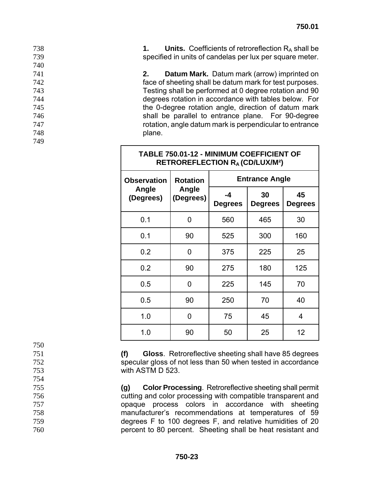738 **1. Units.** Coefficients of retroreflection RA shall be 739 specified in units of candelas per lux per square meter.

**2. Datum Mark.** Datum mark (arrow) imprinted on face of sheeting shall be datum mark for test purposes. Testing shall be performed at 0 degree rotation and 90 degrees rotation in accordance with tables below. For the 0-degree rotation angle, direction of datum mark shall be parallel to entrance plane. For 90-degree rotation, angle datum mark is perpendicular to entrance 748 **plane.** 

| <b>TABLE 750.01-12 - MINIMUM COEFFICIENT OF</b><br><b>RETROREFLECTION RA (CD/LUX/M2)</b> |                    |                        |                       |                      |  |  |
|------------------------------------------------------------------------------------------|--------------------|------------------------|-----------------------|----------------------|--|--|
| <b>Observation</b>                                                                       | <b>Rotation</b>    |                        | <b>Entrance Angle</b> |                      |  |  |
| Angle<br>(Degrees)                                                                       | Angle<br>(Degrees) | $-4$<br><b>Degrees</b> | 30<br><b>Degrees</b>  | 45<br><b>Degrees</b> |  |  |
| 0.1                                                                                      | 0                  | 560                    | 465                   | 30                   |  |  |
| 0.1                                                                                      | 90                 | 525                    | 300                   | 160                  |  |  |
| 0.2                                                                                      | 0                  | 375                    | 225                   | 25                   |  |  |
| 0.2                                                                                      | 90                 | 275                    | 180                   | 125                  |  |  |
| 0.5                                                                                      | O                  | 225                    | 145                   | 70                   |  |  |
| 0.5                                                                                      | 90                 | 250                    | 70                    | 40                   |  |  |
| 1.0                                                                                      | 0                  | 75                     | 45                    | 4                    |  |  |
| 1.0                                                                                      | 90                 | 50                     | 25                    | 12                   |  |  |

750

740

749

751 **(f) Gloss**. Retroreflective sheeting shall have 85 degrees

752 specular gloss of not less than 50 when tested in accordance 753 with ASTM D 523.

754

755 **(g) Color Processing**. Retroreflective sheeting shall permit

756 cutting and color processing with compatible transparent and

opaque process colors in accordance with sheeting manufacturer's recommendations at temperatures of 59 degrees F to 100 degrees F, and relative humidities of 20 percent to 80 percent. Sheeting shall be heat resistant and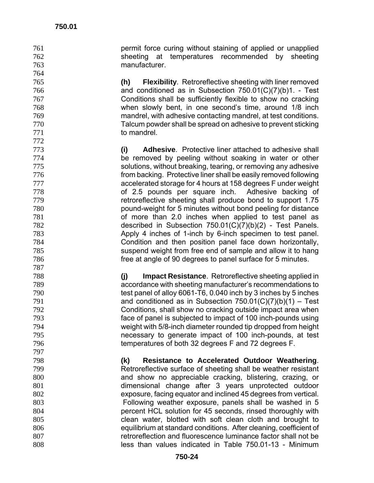permit force curing without staining of applied or unapplied sheeting at temperatures recommended by sheeting manufacturer.

**(h) Flexibility**. Retroreflective sheeting with liner removed and conditioned as in Subsection 750.01(C)(7)(b)1. - Test Conditions shall be sufficiently flexible to show no cracking when slowly bent, in one second's time, around 1/8 inch mandrel, with adhesive contacting mandrel, at test conditions. Talcum powder shall be spread on adhesive to prevent sticking to mandrel.

**(i) Adhesive**. Protective liner attached to adhesive shall be removed by peeling without soaking in water or other solutions, without breaking, tearing, or removing any adhesive from backing. Protective liner shall be easily removed following accelerated storage for 4 hours at 158 degrees F under weight of 2.5 pounds per square inch. Adhesive backing of retroreflective sheeting shall produce bond to support 1.75 pound-weight for 5 minutes without bond peeling for distance of more than 2.0 inches when applied to test panel as described in Subsection 750.01(C)(7)(b)(2) - Test Panels. Apply 4 inches of 1-inch by 6-inch specimen to test panel. Condition and then position panel face down horizontally, suspend weight from free end of sample and allow it to hang free at angle of 90 degrees to panel surface for 5 minutes.

**(j) Impact Resistance**. Retroreflective sheeting applied in accordance with sheeting manufacturer's recommendations to test panel of alloy 6061-T6, 0.040 inch by 3 inches by 5 inches and conditioned as in Subsection 750.01(C)(7)(b)(1) – Test Conditions, shall show no cracking outside impact area when face of panel is subjected to impact of 100 inch-pounds using weight with 5/8-inch diameter rounded tip dropped from height necessary to generate impact of 100 inch-pounds, at test temperatures of both 32 degrees F and 72 degrees F.

**(k) Resistance to Accelerated Outdoor Weathering**. Retroreflective surface of sheeting shall be weather resistant and show no appreciable cracking, blistering, crazing, or dimensional change after 3 years unprotected outdoor exposure, facing equator and inclined 45 degrees from vertical. Following weather exposure, panels shall be washed in 5 percent HCL solution for 45 seconds, rinsed thoroughly with clean water, blotted with soft clean cloth and brought to equilibrium at standard conditions. After cleaning, coefficient of **retroreflection and fluorescence luminance factor shall not be** less than values indicated in Table 750.01-13 - Minimum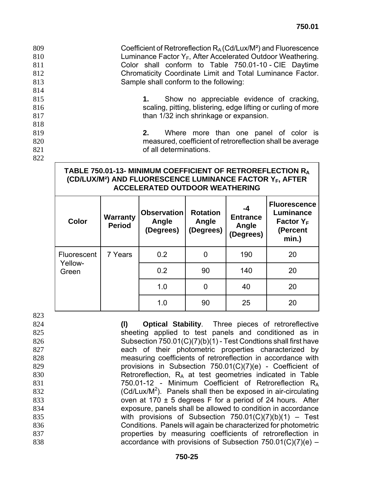**Coefficient of Retroreflection**  $R_A$  **(Cd/Lux/M<sup>2</sup>) and Fluorescence** 810 Luminance Factor  $Y_F$ , After Accelerated Outdoor Weathering. Color shall conform to Table 750.01-10 - CIE Daytime **Chromaticity Coordinate Limit and Total Luminance Factor.** Sample shall conform to the following: 814 **1.** Show no appreciable evidence of cracking, **State State State State State State State State State State State State State State State State State State State State State State State State State State State State State State State State State State State State S than 1/32 inch shrinkage or expansion.** 818

819 **2.** Where more than one panel of color is 820 measured, coefficient of retroreflection shall be average 821 **b** all determinations.

#### **TABLE 750.01-13- MINIMUM COEFFICIENT OF RETROREFLECTION RA (CD/LUX/M²) AND FLUORESCENCE LUMINANCE FACTOR YF, AFTER ACCELERATED OUTDOOR WEATHERING**

| Color            | <b>Warranty</b><br><b>Period</b> | <b>Observation</b><br>Angle<br>(Degrees) | <b>Rotation</b><br>Angle<br>(Degrees) | -4<br><b>Entrance</b><br>Angle<br>(Degrees) | <b>Fluorescence</b><br>Luminance<br>Factor $Y_F$<br>(Percent<br>min.) |
|------------------|----------------------------------|------------------------------------------|---------------------------------------|---------------------------------------------|-----------------------------------------------------------------------|
| Fluorescent      | 7 Years                          | 0.2                                      | 0                                     | 190                                         | 20                                                                    |
| Yellow-<br>Green |                                  | 0.2                                      | 90                                    | 140                                         | 20                                                                    |
|                  |                                  | 1.0                                      | 0                                     | 40                                          | 20                                                                    |
|                  |                                  | 1.0                                      | 90                                    | 25                                          | 20                                                                    |

823

822

**(l) Optical Stability**. Three pieces of retroreflective 825 sheeting applied to test panels and conditioned as in Subsection 750.01(C)(7)(b)(1) - Test Condtions shall first have each of their photometric properties characterized by measuring coefficients of retroreflection in accordance with provisions in Subsection 750.01(C)(7)(e) - Coefficient of 830 Retroreflection,  $R_A$  at test geometries indicated in Table 750.01-12 - Minimum Coefficient of Retroreflection RA (Cd/Lux/M<sup>2</sup>). Panels shall then be exposed in air-circulating **b** oven at 170  $\pm$  5 degrees F for a period of 24 hours. After exposure, panels shall be allowed to condition in accordance with provisions of Subsection 750.01(C)(7)(b)(1) – Test Conditions. Panels will again be characterized for photometric properties by measuring coefficients of retroreflection in **accordance with provisions of Subsection 750.01(C)(7)(e)** –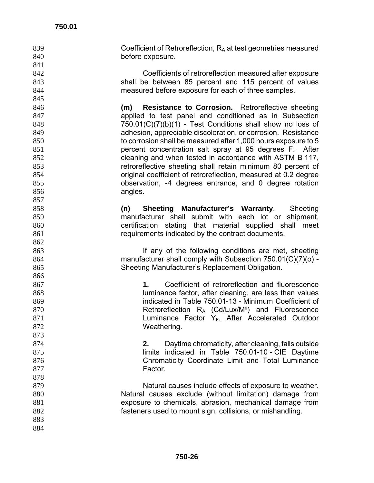**Coefficient of Retroreflection,**  $R_A$  **at test geometries measured** 840 before exposure. Coefficients of retroreflection measured after exposure shall be between 85 percent and 115 percent of values measured before exposure for each of three samples. **(m) Resistance to Corrosion.** Retroreflective sheeting applied to test panel and conditioned as in Subsection 750.01(C)(7)(b)(1) - Test Conditions shall show no loss of adhesion, appreciable discoloration, or corrosion. Resistance to corrosion shall be measured after 1,000 hours exposure to 5 percent concentration salt spray at 95 degrees F. After cleaning and when tested in accordance with ASTM B 117, retroreflective sheeting shall retain minimum 80 percent of original coefficient of retroreflection, measured at 0.2 degree observation, -4 degrees entrance, and 0 degree rotation 856 angles. **(n) Sheeting Manufacturer's Warranty**. Sheeting manufacturer shall submit with each lot or shipment, certification stating that material supplied shall meet requirements indicated by the contract documents. If any of the following conditions are met, sheeting manufacturer shall comply with Subsection 750.01(C)(7)(o) - Sheeting Manufacturer's Replacement Obligation. **1.** Coefficient of retroreflection and fluorescence luminance factor, after cleaning, are less than values indicated in Table 750.01-13 - Minimum Coefficient of 870 Retroreflection  $R_A$  (Cd/Lux/M<sup>2</sup>) and Fluorescence **Luminance Factor Y<sub>F</sub>**, After Accelerated Outdoor 872 Weathering. **2.** Daytime chromaticity, after cleaning, falls outside 875 limits indicated in Table 750.01-10 - CIE Daytime Chromaticity Coordinate Limit and Total Luminance **Factor.**  Natural causes include effects of exposure to weather. Natural causes exclude (without limitation) damage from exposure to chemicals, abrasion, mechanical damage from fasteners used to mount sign, collisions, or mishandling.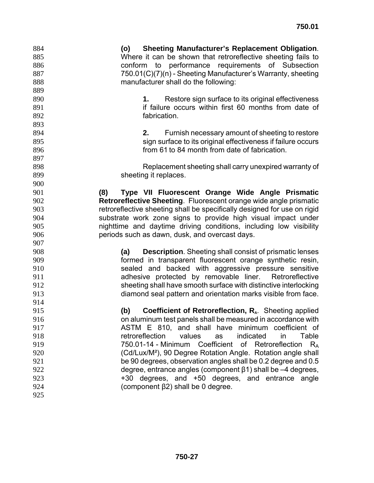**(o) Sheeting Manufacturer's Replacement Obligation**. Where it can be shown that retroreflective sheeting fails to conform to performance requirements of Subsection 750.01(C)(7)(n) - Sheeting Manufacturer's Warranty, sheeting manufacturer shall do the following: **1.** Restore sign surface to its original effectiveness **if failure occurs within first 60 months from date of** fabrication. **2.** Furnish necessary amount of sheeting to restore sign surface to its original effectiveness if failure occurs from 61 to 84 month from date of fabrication. Replacement sheeting shall carry unexpired warranty of 899 sheeting it replaces. **(8) Type VII Fluorescent Orange Wide Angle Prismatic Retroreflective Sheeting**. Fluorescent orange wide angle prismatic retroreflective sheeting shall be specifically designed for use on rigid substrate work zone signs to provide high visual impact under nighttime and daytime driving conditions, including low visibility periods such as dawn, dusk, and overcast days. **(a) Description**. Sheeting shall consist of prismatic lenses formed in transparent fluorescent orange synthetic resin, sealed and backed with aggressive pressure sensitive adhesive protected by removable liner. Retroreflective sheeting shall have smooth surface with distinctive interlocking diamond seal pattern and orientation marks visible from face. **(b) Coefficient of Retroreflection, R<sub>A</sub>.** Sheeting applied on aluminum test panels shall be measured in accordance with ASTM E 810, and shall have minimum coefficient of retroreflection values as indicated in Table 919 750.01-14 - Minimum Coefficient of Retroreflection R<sub>A</sub> (Cd/Lux/M²), 90 Degree Rotation Angle. Rotation angle shall be 90 degrees, observation angles shall be 0.2 degree and 0.5 degree, entrance angles (component β1) shall be –4 degrees, +30 degrees, and +50 degrees, and entrance angle (component β2) shall be 0 degree.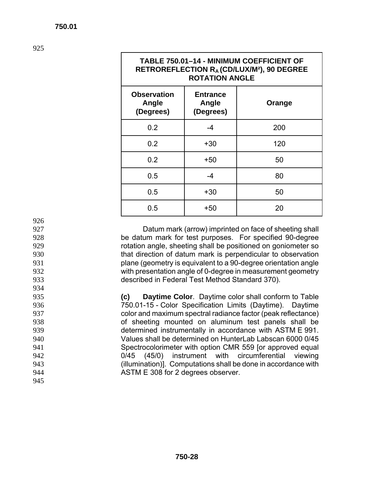| <b>TABLE 750.01-14 - MINIMUM COEFFICIENT OF</b><br>RETROREFLECTION R <sub>A</sub> (CD/LUX/M <sup>2</sup> ), 90 DEGREE<br><b>ROTATION ANGLE</b> |                                       |        |  |  |  |  |
|------------------------------------------------------------------------------------------------------------------------------------------------|---------------------------------------|--------|--|--|--|--|
| <b>Observation</b><br>Angle<br>(Degrees)                                                                                                       | <b>Entrance</b><br>Angle<br>(Degrees) | Orange |  |  |  |  |
| 0.2                                                                                                                                            | $-4$                                  | 200    |  |  |  |  |
| 0.2                                                                                                                                            | $+30$                                 | 120    |  |  |  |  |
| 0.2                                                                                                                                            | +50                                   | 50     |  |  |  |  |
| 0.5                                                                                                                                            | $-4$                                  | 80     |  |  |  |  |
| 0.5                                                                                                                                            | +30                                   | 50     |  |  |  |  |
| 0.5                                                                                                                                            | +50                                   | 20     |  |  |  |  |

934

945

926

Datum mark (arrow) imprinted on face of sheeting shall be datum mark for test purposes. For specified 90-degree rotation angle, sheeting shall be positioned on goniometer so that direction of datum mark is perpendicular to observation plane (geometry is equivalent to a 90-degree orientation angle with presentation angle of 0-degree in measurement geometry described in Federal Test Method Standard 370).

**(c) Daytime Color**. Daytime color shall conform to Table 750.01-15 - Color Specification Limits (Daytime). Daytime color and maximum spectral radiance factor (peak reflectance) of sheeting mounted on aluminum test panels shall be determined instrumentally in accordance with ASTM E 991. Values shall be determined on HunterLab Labscan 6000 0/45 Spectrocolorimeter with option CMR 559 [or approved equal 0/45 (45/0) instrument with circumferential viewing (illumination)]. Computations shall be done in accordance with ASTM E 308 for 2 degrees observer.

# **TABLE 750.01–14 - MINIMUM COEFFICIENT OF**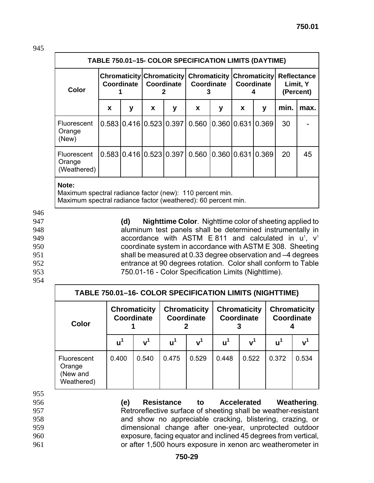| <b>TABLE 750.01-15- COLOR SPECIFICATION LIMITS (DAYTIME)</b> |   |   |                         |                         |                                  |   |                                                                                                        |       |      |      |
|--------------------------------------------------------------|---|---|-------------------------|-------------------------|----------------------------------|---|--------------------------------------------------------------------------------------------------------|-------|------|------|
| Color                                                        |   |   | Coordinate   Coordinate |                         | Coordinate                       |   | Chromaticity Chromaticity Chromaticity Chromaticity Reflectance<br>Coordinate<br>Limit, Y<br>(Percent) |       |      |      |
|                                                              | X | y | X                       | у                       | <b>X</b>                         | y | X                                                                                                      | y     | min. | max. |
| <b>Fluorescent</b><br>Orange<br>(New)                        |   |   |                         | 0.583 0.416 0.523 0.397 | 0.560                            |   | 0.36010.631                                                                                            | 0.369 | 30   |      |
| Fluorescent<br>Orange<br>(Weathered)                         |   |   |                         |                         | l0.583l0.416l0.523l0.397l0.560 l |   | 0.36010.63110.369                                                                                      |       | 20   | 45   |
| Mata.                                                        |   |   |                         |                         |                                  |   |                                                                                                        |       |      |      |

#### **Note:**

Maximum spectral radiance factor (new): 110 percent min. Maximum spectral radiance factor (weathered): 60 percent min.

946

954

**(d) Nighttime Color**. Nighttime color of sheeting applied to aluminum test panels shall be determined instrumentally in **accordance with ASTM E 811 and calculated in u<sup>1</sup>,**  $v^1$ coordinate system in accordance with ASTM E 308. Sheeting shall be measured at 0.33 degree observation and –4 degrees entrance at 90 degrees rotation. Color shall conform to Table 750.01-16 - Color Specification Limits (Nighttime).

| TABLE 750.01-16- COLOR SPECIFICATION LIMITS (NIGHTTIME) |                                   |                |                                   |                |                                   |                |                                          |             |
|---------------------------------------------------------|-----------------------------------|----------------|-----------------------------------|----------------|-----------------------------------|----------------|------------------------------------------|-------------|
| Color                                                   | <b>Chromaticity</b><br>Coordinate |                | <b>Chromaticity</b><br>Coordinate |                | <b>Chromaticity</b><br>Coordinate |                | <b>Chromaticity</b><br><b>Coordinate</b> |             |
|                                                         | $\mathbf{u}^1$                    | v <sup>1</sup> | $u^1$                             | v <sup>1</sup> | $u^1$                             | v <sup>1</sup> | $u^1$                                    | ${\bf v}^1$ |
| <b>Fluorescent</b><br>Orange<br>(New and<br>Weathered)  | 0.400                             | 0.540          | 0.475                             | 0.529          | 0.448                             | 0.522          | 0.372                                    | 0.534       |

955

- 
- 
- 
- 
- 

**(e) Resistance to Accelerated Weathering**. Retroreflective surface of sheeting shall be weather-resistant and show no appreciable cracking, blistering, crazing, or dimensional change after one-year, unprotected outdoor exposure, facing equator and inclined 45 degrees from vertical, or after 1,500 hours exposure in xenon arc weatherometer in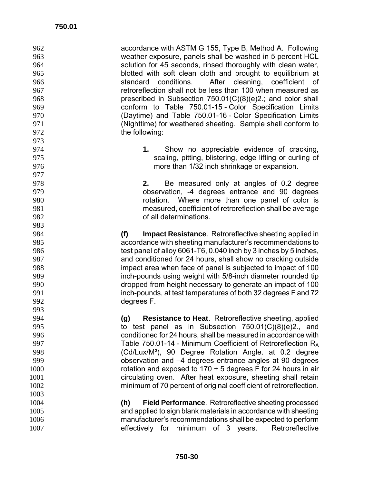| 962<br>963 | accordance with ASTM G 155, Type B, Method A. Following<br>weather exposure, panels shall be washed in 5 percent HCL                |
|------------|-------------------------------------------------------------------------------------------------------------------------------------|
| 964<br>965 | solution for 45 seconds, rinsed thoroughly with clean water,                                                                        |
| 966        | blotted with soft clean cloth and brought to equilibrium at<br>standard conditions. After cleaning, coefficient of                  |
|            | retroreflection shall not be less than 100 when measured as                                                                         |
| 967        |                                                                                                                                     |
| 968        | prescribed in Subsection 750.01(C)(8)(e)2.; and color shall                                                                         |
| 969        | conform to Table 750.01-15 - Color Specification Limits                                                                             |
| 970        | (Daytime) and Table 750.01-16 - Color Specification Limits                                                                          |
| 971        | (Nighttime) for weathered sheeting. Sample shall conform to                                                                         |
| 972        | the following:                                                                                                                      |
| 973        |                                                                                                                                     |
| 974        | 1.<br>Show no appreciable evidence of cracking,                                                                                     |
| 975        | scaling, pitting, blistering, edge lifting or curling of                                                                            |
| 976        | more than 1/32 inch shrinkage or expansion.                                                                                         |
| 977        |                                                                                                                                     |
| 978        | Be measured only at angles of 0.2 degree<br>2.                                                                                      |
| 979        | observation, -4 degrees entrance and 90 degrees                                                                                     |
| 980        | rotation. Where more than one panel of color is                                                                                     |
| 981        | measured, coefficient of retroreflection shall be average                                                                           |
| 982        | of all determinations.                                                                                                              |
| 983        |                                                                                                                                     |
| 984        | (f)<br><b>Impact Resistance.</b> Retroreflective sheeting applied in                                                                |
| 985        | accordance with sheeting manufacturer's recommendations to                                                                          |
| 986        | test panel of alloy 6061-T6, 0.040 inch by 3 inches by 5 inches,                                                                    |
| 987        | and conditioned for 24 hours, shall show no cracking outside                                                                        |
| 988        | impact area when face of panel is subjected to impact of 100                                                                        |
| 989        | inch-pounds using weight with 5/8-inch diameter rounded tip                                                                         |
| 990        | dropped from height necessary to generate an impact of 100                                                                          |
| 991<br>992 | inch-pounds, at test temperatures of both 32 degrees F and 72                                                                       |
| 993        | degrees F.                                                                                                                          |
| 994        |                                                                                                                                     |
| 995        | Resistance to Heat. Retroreflective sheeting, applied<br>(g)                                                                        |
| 996        | to test panel as in Subsection 750.01(C)(8)(e)2., and                                                                               |
| 997        | conditioned for 24 hours, shall be measured in accordance with                                                                      |
| 998        | Table 750.01-14 - Minimum Coefficient of Retroreflection $R_A$<br>(Cd/Lux/M <sup>2</sup> ), 90 Degree Rotation Angle. at 0.2 degree |
| 999        |                                                                                                                                     |
|            | observation and -4 degrees entrance angles at 90 degrees                                                                            |
| 1000       | rotation and exposed to $170 + 5$ degrees F for 24 hours in air                                                                     |
| 1001       | circulating oven. After heat exposure, sheeting shall retain                                                                        |
| 1002       | minimum of 70 percent of original coefficient of retroreflection.                                                                   |
| 1003       |                                                                                                                                     |
| 1004       | <b>Field Performance.</b> Retroreflective sheeting processed<br>(h)                                                                 |
| 1005       | and applied to sign blank materials in accordance with sheeting                                                                     |
| 1006       | manufacturer's recommendations shall be expected to perform                                                                         |
| 1007       | Retroreflective<br>effectively<br>minimum<br>3 years.<br>for<br>of                                                                  |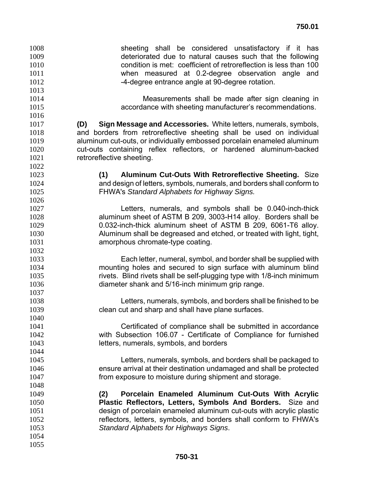sheeting shall be considered unsatisfactory if it has deteriorated due to natural causes such that the following condition is met: coefficient of retroreflection is less than 100 when measured at 0.2-degree observation angle and 1012 -4-degree entrance angle at 90-degree rotation. Measurements shall be made after sign cleaning in accordance with sheeting manufacturer's recommendations. **(D) Sign Message and Accessories.** White letters, numerals, symbols, and borders from retroreflective sheeting shall be used on individual aluminum cut-outs, or individually embossed porcelain enameled aluminum cut-outs containing reflex reflectors, or hardened aluminum-backed 1021 retroreflective sheeting. **(1) Aluminum Cut-Outs With Retroreflective Sheeting.** Size and design of letters, symbols, numerals, and borders shall conform to FHWA's *Standard Alphabets for Highway Signs.* Letters, numerals, and symbols shall be 0.040-inch-thick aluminum sheet of ASTM B 209, 3003-H14 alloy. Borders shall be 0.032-inch-thick aluminum sheet of ASTM B 209, 6061-T6 alloy. Aluminum shall be degreased and etched, or treated with light, tight, amorphous chromate-type coating. Each letter, numeral, symbol, and border shall be supplied with mounting holes and secured to sign surface with aluminum blind rivets. Blind rivets shall be self-plugging type with 1/8-inch minimum diameter shank and 5/16-inch minimum grip range. Letters, numerals, symbols, and borders shall be finished to be clean cut and sharp and shall have plane surfaces. Certificated of compliance shall be submitted in accordance with Subsection 106.07 - Certificate of Compliance for furnished letters, numerals, symbols, and borders Letters, numerals, symbols, and borders shall be packaged to ensure arrival at their destination undamaged and shall be protected from exposure to moisture during shipment and storage. **(2) Porcelain Enameled Aluminum Cut-Outs With Acrylic Plastic Reflectors, Letters, Symbols And Borders.** Size and design of porcelain enameled aluminum cut-outs with acrylic plastic reflectors, letters, symbols, and borders shall conform to FHWA's *Standard Alphabets for Highways Signs*.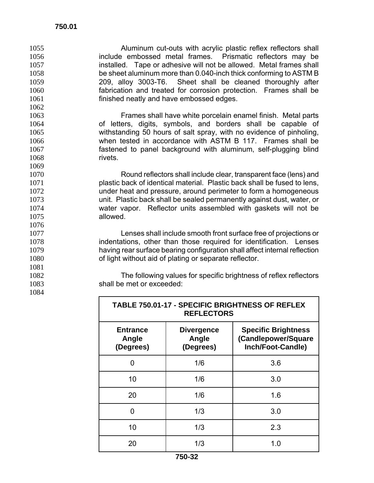1069

1076

1081

1084

Aluminum cut-outs with acrylic plastic reflex reflectors shall include embossed metal frames. Prismatic reflectors may be installed. Tape or adhesive will not be allowed. Metal frames shall be sheet aluminum more than 0.040-inch thick conforming to ASTM B 209, alloy 3003-T6. Sheet shall be cleaned thoroughly after fabrication and treated for corrosion protection. Frames shall be finished neatly and have embossed edges.

Frames shall have white porcelain enamel finish. Metal parts of letters, digits, symbols, and borders shall be capable of withstanding 50 hours of salt spray, with no evidence of pinholing, when tested in accordance with ASTM B 117. Frames shall be fastened to panel background with aluminum, self-plugging blind 1068 rivets.

Round reflectors shall include clear, transparent face (lens) and plastic back of identical material. Plastic back shall be fused to lens, under heat and pressure, around perimeter to form a homogeneous unit. Plastic back shall be sealed permanently against dust, water, or water vapor. Reflector units assembled with gaskets will not be allowed.

Lenses shall include smooth front surface free of projections or indentations, other than those required for identification. Lenses having rear surface bearing configuration shall affect internal reflection of light without aid of plating or separate reflector.

1082 The following values for specific brightness of reflex reflectors 1083 shall be met or exceeded:

**TABLE 750.01-17 - SPECIFIC BRIGHTNESS OF REFLEX** 

| TADLE T30.01" IT " SPECIFIC DRIGHTINESS OF REFLEA<br><b>REFLECTORS</b> |                                         |                                                                        |  |  |  |  |
|------------------------------------------------------------------------|-----------------------------------------|------------------------------------------------------------------------|--|--|--|--|
| <b>Entrance</b><br>Angle<br>(Degrees)                                  | <b>Divergence</b><br>Angle<br>(Degrees) | <b>Specific Brightness</b><br>(Candlepower/Square<br>Inch/Foot-Candle) |  |  |  |  |
| O                                                                      | 1/6                                     | 3.6                                                                    |  |  |  |  |
| 10                                                                     | 1/6                                     | 3.0                                                                    |  |  |  |  |
| 20                                                                     | 1/6                                     | 1.6                                                                    |  |  |  |  |
| ŋ                                                                      | 1/3                                     | 3.0                                                                    |  |  |  |  |
| 10                                                                     | 1/3                                     | 2.3                                                                    |  |  |  |  |
| 20                                                                     | 1/3                                     | 1.0                                                                    |  |  |  |  |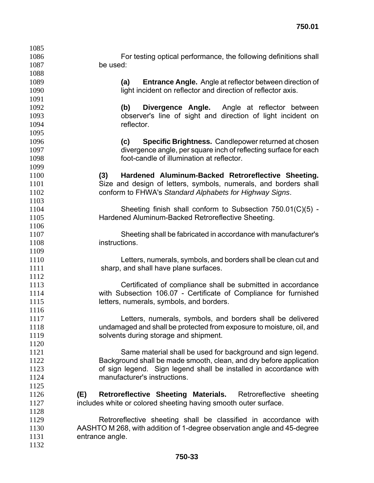| 1085 |                                                                         |
|------|-------------------------------------------------------------------------|
| 1086 | For testing optical performance, the following definitions shall        |
| 1087 | be used:                                                                |
| 1088 |                                                                         |
| 1089 | <b>Entrance Angle.</b> Angle at reflector between direction of<br>(a)   |
| 1090 | light incident on reflector and direction of reflector axis.            |
| 1091 |                                                                         |
| 1092 | Divergence Angle. Angle at reflector between<br>(b)                     |
| 1093 | observer's line of sight and direction of light incident on             |
| 1094 | reflector.                                                              |
| 1095 |                                                                         |
| 1096 | <b>Specific Brightness.</b> Candlepower returned at chosen<br>(c)       |
| 1097 | divergence angle, per square inch of reflecting surface for each        |
| 1098 | foot-candle of illumination at reflector.                               |
| 1099 |                                                                         |
| 1100 | (3)<br>Hardened Aluminum-Backed Retroreflective Sheeting.               |
| 1101 | Size and design of letters, symbols, numerals, and borders shall        |
| 1102 | conform to FHWA's Standard Alphabets for Highway Signs.                 |
| 1103 |                                                                         |
| 1104 | Sheeting finish shall conform to Subsection 750.01(C)(5) -              |
| 1105 | Hardened Aluminum-Backed Retroreflective Sheeting.                      |
| 1106 |                                                                         |
| 1107 | Sheeting shall be fabricated in accordance with manufacturer's          |
| 1108 | instructions.                                                           |
| 1109 |                                                                         |
| 1110 | Letters, numerals, symbols, and borders shall be clean cut and          |
| 1111 | sharp, and shall have plane surfaces.                                   |
| 1112 |                                                                         |
| 1113 | Certificated of compliance shall be submitted in accordance             |
| 1114 | with Subsection 106.07 - Certificate of Compliance for furnished        |
| 1115 | letters, numerals, symbols, and borders.                                |
| 1116 |                                                                         |
| 1117 | Letters, numerals, symbols, and borders shall be delivered              |
| 1118 | undamaged and shall be protected from exposure to moisture, oil, and    |
| 1119 | solvents during storage and shipment.                                   |
| 1120 |                                                                         |
| 1121 | Same material shall be used for background and sign legend.             |
| 1122 | Background shall be made smooth, clean, and dry before application      |
| 1123 | of sign legend. Sign legend shall be installed in accordance with       |
| 1124 | manufacturer's instructions.                                            |
| 1125 |                                                                         |
| 1126 | (E)<br>Retroreflective Sheeting Materials.<br>Retroreflective sheeting  |
| 1127 | includes white or colored sheeting having smooth outer surface.         |
| 1128 |                                                                         |
| 1129 | Retroreflective sheeting shall be classified in accordance with         |
| 1130 | AASHTO M 268, with addition of 1-degree observation angle and 45-degree |
| 1131 | entrance angle.                                                         |
| 1132 |                                                                         |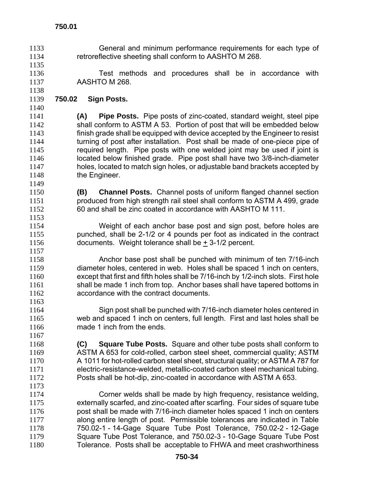**750.01** 

- General and minimum performance requirements for each type of retroreflective sheeting shall conform to AASHTO M 268.
- Test methods and procedures shall be in accordance with AASHTO M 268.
- **750.02 Sign Posts.**
- **(A) Pipe Posts.** Pipe posts of zinc-coated, standard weight, steel pipe shall conform to ASTM A 53. Portion of post that will be embedded below finish grade shall be equipped with device accepted by the Engineer to resist turning of post after installation. Post shall be made of one-piece pipe of required length. Pipe posts with one welded joint may be used if joint is located below finished grade. Pipe post shall have two 3/8-inch-diameter holes, located to match sign holes, or adjustable band brackets accepted by 1148 the Engineer.
- **(B) Channel Posts.** Channel posts of uniform flanged channel section produced from high strength rail steel shall conform to ASTM A 499, grade 60 and shall be zinc coated in accordance with AASHTO M 111.
- Weight of each anchor base post and sign post, before holes are punched, shall be 2-1/2 or 4 pounds per foot as indicated in the contract documents. Weight tolerance shall be + 3-1/2 percent.
- Anchor base post shall be punched with minimum of ten 7/16-inch diameter holes, centered in web. Holes shall be spaced 1 inch on centers, except that first and fifth holes shall be 7/16-inch by 1/2-inch slots. First hole shall be made 1 inch from top. Anchor bases shall have tapered bottoms in accordance with the contract documents.
- Sign post shall be punched with 7/16-inch diameter holes centered in web and spaced 1 inch on centers, full length. First and last holes shall be made 1 inch from the ends.
- **(C) Square Tube Posts.** Square and other tube posts shall conform to ASTM A 653 for cold-rolled, carbon steel sheet, commercial quality; ASTM A 1011 for hot-rolled carbon steel sheet, structural quality; or ASTM A 787 for electric-resistance-welded, metallic-coated carbon steel mechanical tubing. Posts shall be hot-dip, zinc-coated in accordance with ASTM A 653.
- Corner welds shall be made by high frequency, resistance welding, externally scarfed, and zinc-coated after scarfing. Four sides of square tube post shall be made with 7/16-inch diameter holes spaced 1 inch on centers along entire length of post. Permissible tolerances are indicated in Table 750.02-1 - 14-Gage Square Tube Post Tolerance, 750.02-2 - 12-Gage Square Tube Post Tolerance, and 750.02-3 - 10-Gage Square Tube Post Tolerance. Posts shall be acceptable to FHWA and meet crashworthiness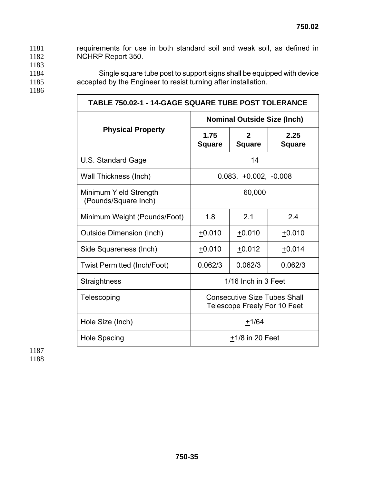1181 requirements for use in both standard soil and weak soil, as defined in 1182 NCHRP Report 350.

- 1183
- 1184 Single square tube post to support signs shall be equipped with device
- 1185 accepted by the Engineer to resist turning after installation.
- 1186

**TABLE 750.02-1 - 14-GAGE SQUARE TUBE POST TOLERANCE Nominal Outside Size (Inch)**  Physical Property 1.75 **Square 2 Square 2.25 Square**  U.S. Standard Gage 14 Wall Thickness (Inch)  $\vert$  0.083, +0.002, -0.008 Minimum Yield Strength (Pounds/Square Inch) 60,000 Minimum Weight (Pounds/Foot) | 1.8 | 2.1 | 2.4 Outside Dimension (Inch) +0.010 +0.010 +0.010 Side Squareness (Inch)  $\vert$  +0.010 +0.012 +0.014 Twist Permitted (Inch/Foot) 0.062/3 0.062/3 0.062/3 Straightness 1/16 Inch in 3 Feet Telescoping **Consecutive Size Tubes Shall** Telescope Freely For 10 Feet Hole Size (Inch)  $+1/64$ Hole Spacing  $\frac{+1}{8}$  and  $\frac{+1}{8}$  in 20 Feet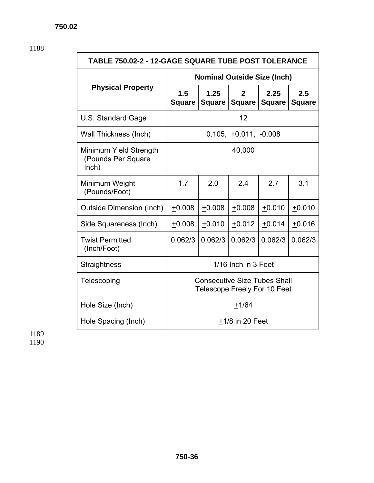| TABLE 750.02-2 - 12-GAGE SQUARE TUBE POST TOLERANCE   |                                                                            |                       |                         |                         |                      |  |
|-------------------------------------------------------|----------------------------------------------------------------------------|-----------------------|-------------------------|-------------------------|----------------------|--|
|                                                       | <b>Nominal Outside Size (Inch)</b>                                         |                       |                         |                         |                      |  |
| <b>Physical Property</b>                              | 1.5<br><b>Square</b>                                                       | 1.25<br><b>Square</b> | $\overline{2}$          | 2.25<br>Square   Square | 2.5<br><b>Square</b> |  |
| U.S. Standard Gage                                    |                                                                            |                       | 12                      |                         |                      |  |
| Wall Thickness (Inch)                                 |                                                                            |                       | $0.105, +0.011, -0.008$ |                         |                      |  |
| Minimum Yield Strength<br>(Pounds Per Square<br>lnch) | 40,000                                                                     |                       |                         |                         |                      |  |
| Minimum Weight<br>(Pounds/Foot)                       | 1.7                                                                        | 2.0                   | 2.4                     | 2.7                     | 3.1                  |  |
| <b>Outside Dimension (Inch)</b>                       | $+0.008$                                                                   | $+0.008$              | $+0.008$                | $+0.010$                | $+0.010$             |  |
| Side Squareness (Inch)                                | $+0.008$                                                                   | $+0.010$              | $+0.012$                | $+0.014$                | $+0.016$             |  |
| <b>Twist Permitted</b><br>(Inch/Foot)                 | 0.062/3                                                                    | 0.062/3               | 0.062/3                 | 0.062/3                 | 0.062/3              |  |
| Straightness                                          |                                                                            |                       | 1/16 Inch in 3 Feet     |                         |                      |  |
| Telescoping                                           | <b>Consecutive Size Tubes Shall</b><br><b>Telescope Freely For 10 Feet</b> |                       |                         |                         |                      |  |
| Hole Size (Inch)                                      | $+1/64$                                                                    |                       |                         |                         |                      |  |
| Hole Spacing (Inch)                                   | $+1/8$ in 20 Feet                                                          |                       |                         |                         |                      |  |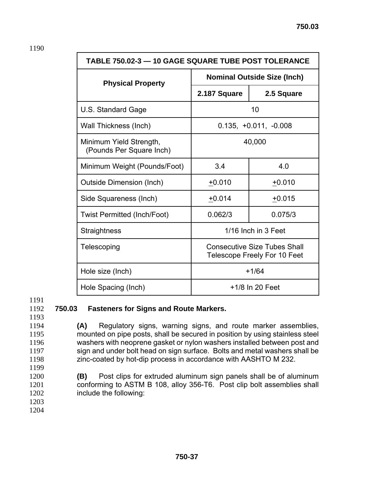| <b>TABLE 750.02-3 - 10 GAGE SQUARE TUBE POST TOLERANCE</b>                         |                                    |                         |  |  |  |  |
|------------------------------------------------------------------------------------|------------------------------------|-------------------------|--|--|--|--|
| <b>Physical Property</b>                                                           | <b>Nominal Outside Size (Inch)</b> |                         |  |  |  |  |
|                                                                                    | 2.187 Square                       | 2.5 Square              |  |  |  |  |
| U.S. Standard Gage                                                                 |                                    | 10                      |  |  |  |  |
| Wall Thickness (Inch)                                                              |                                    | $0.135, +0.011, -0.008$ |  |  |  |  |
| Minimum Yield Strength,<br>(Pounds Per Square Inch)                                | 40,000                             |                         |  |  |  |  |
| Minimum Weight (Pounds/Foot)                                                       | 3.4                                | 4.0                     |  |  |  |  |
| <b>Outside Dimension (Inch)</b>                                                    | $+0.010$                           | $+0.010$                |  |  |  |  |
| Side Squareness (Inch)                                                             | $+0.014$                           | $+0.015$                |  |  |  |  |
| <b>Twist Permitted (Inch/Foot)</b>                                                 | 0.062/3                            | 0.075/3                 |  |  |  |  |
| <b>Straightness</b>                                                                | 1/16 Inch in 3 Feet                |                         |  |  |  |  |
| <b>Consecutive Size Tubes Shall</b><br>Telescoping<br>Telescope Freely For 10 Feet |                                    |                         |  |  |  |  |
| Hole size (Inch)                                                                   | $+1/64$                            |                         |  |  |  |  |
| Hole Spacing (Inch)                                                                | +1/8 In 20 Feet                    |                         |  |  |  |  |

## 1192 **750.03 Fasteners for Signs and Route Markers.**

1193

**(A)** Regulatory signs, warning signs, and route marker assemblies, mounted on pipe posts, shall be secured in position by using stainless steel washers with neoprene gasket or nylon washers installed between post and sign and under bolt head on sign surface. Bolts and metal washers shall be zinc-coated by hot-dip process in accordance with AASHTO M 232. 1199

- 1200 **(B)** Post clips for extruded aluminum sign panels shall be of aluminum 1201 conforming to ASTM B 108, alloy 356-T6. Post clip bolt assemblies shall 1202 include the following:
- 1203 1204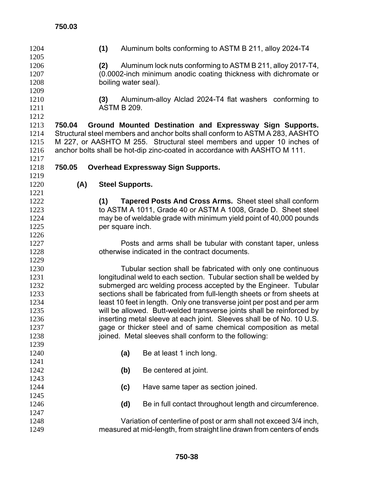| 1204<br>1205 |        | (1)                    | Aluminum bolts conforming to ASTM B 211, alloy 2024-T4                        |
|--------------|--------|------------------------|-------------------------------------------------------------------------------|
| 1206         |        | (2)                    | Aluminum lock nuts conforming to ASTM B 211, alloy 2017-T4,                   |
| 1207         |        |                        | (0.0002-inch minimum anodic coating thickness with dichromate or              |
| 1208         |        | boiling water seal).   |                                                                               |
| 1209         |        |                        |                                                                               |
| 1210         |        | (3)                    | Aluminum-alloy Alclad 2024-T4 flat washers conforming to                      |
| 1211         |        | <b>ASTM B 209.</b>     |                                                                               |
| 1212         |        |                        |                                                                               |
| 1213         | 750.04 |                        | Ground Mounted Destination and Expressway Sign Supports.                      |
| 1214         |        |                        | Structural steel members and anchor bolts shall conform to ASTM A 283, AASHTO |
| 1215         |        |                        | M 227, or AASHTO M 255. Structural steel members and upper 10 inches of       |
| 1216         |        |                        | anchor bolts shall be hot-dip zinc-coated in accordance with AASHTO M 111.    |
| 1217<br>1218 | 750.05 |                        |                                                                               |
| 1219         |        |                        | <b>Overhead Expressway Sign Supports.</b>                                     |
| 1220         | (A)    | <b>Steel Supports.</b> |                                                                               |
| 1221         |        |                        |                                                                               |
| 1222         |        | (1)                    | <b>Tapered Posts And Cross Arms.</b> Sheet steel shall conform                |
| 1223         |        |                        | to ASTM A 1011, Grade 40 or ASTM A 1008, Grade D. Sheet steel                 |
| 1224         |        |                        | may be of weldable grade with minimum yield point of 40,000 pounds            |
| 1225         |        | per square inch.       |                                                                               |
| 1226         |        |                        |                                                                               |
| 1227         |        |                        | Posts and arms shall be tubular with constant taper, unless                   |
| 1228         |        |                        | otherwise indicated in the contract documents.                                |
| 1229         |        |                        |                                                                               |
| 1230         |        |                        | Tubular section shall be fabricated with only one continuous                  |
| 1231         |        |                        | longitudinal weld to each section. Tubular section shall be welded by         |
| 1232         |        |                        | submerged arc welding process accepted by the Engineer. Tubular               |
| 1233         |        |                        | sections shall be fabricated from full-length sheets or from sheets at        |
| 1234         |        |                        | least 10 feet in length. Only one transverse joint per post and per arm       |
| 1235         |        |                        | will be allowed. Butt-welded transverse joints shall be reinforced by         |
| 1236         |        |                        | inserting metal sleeve at each joint. Sleeves shall be of No. 10 U.S.         |
| 1237         |        |                        | gage or thicker steel and of same chemical composition as metal               |
| 1238         |        |                        | joined. Metal sleeves shall conform to the following:                         |
| 1239         |        |                        |                                                                               |
| 1240         |        | (a)                    | Be at least 1 inch long.                                                      |
| 1241         |        |                        |                                                                               |
| 1242         |        | (b)                    | Be centered at joint.                                                         |
| 1243         |        |                        |                                                                               |
| 1244         |        | (c)                    | Have same taper as section joined.                                            |
| 1245<br>1246 |        |                        |                                                                               |
| 1247         |        | (d)                    | Be in full contact throughout length and circumference.                       |
| 1248         |        |                        | Variation of centerline of post or arm shall not exceed 3/4 inch,             |
| 1249         |        |                        | measured at mid-length, from straight line drawn from centers of ends         |
|              |        |                        |                                                                               |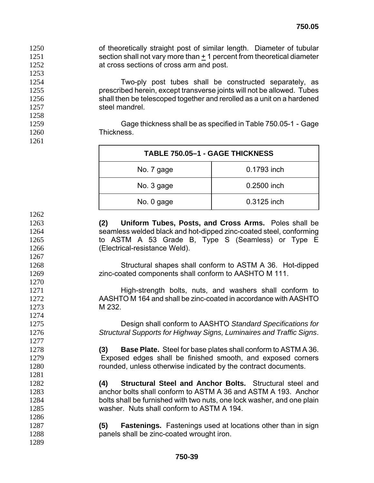of theoretically straight post of similar length. Diameter of tubular 1251 section shall not vary more than + 1 percent from theoretical diameter at cross sections of cross arm and post. 

Two-ply post tubes shall be constructed separately, as prescribed herein, except transverse joints will not be allowed. Tubes shall then be telescoped together and rerolled as a unit on a hardened 1257 steel mandrel.

Gage thickness shall be as specified in Table 750.05-1 - Gage Thickness.

| TABLE 750.05-1 - GAGE THICKNESS |             |  |  |  |  |  |
|---------------------------------|-------------|--|--|--|--|--|
| No. 7 gage                      | 0.1793 inch |  |  |  |  |  |
| No. 3 gage                      | 0.2500 inch |  |  |  |  |  |
| No. 0 gage                      | 0.3125 inch |  |  |  |  |  |

**(2) Uniform Tubes, Posts, and Cross Arms.** Poles shall be seamless welded black and hot-dipped zinc-coated steel, conforming to ASTM A 53 Grade B, Type S (Seamless) or Type E (Electrical-resistance Weld).

Structural shapes shall conform to ASTM A 36. Hot-dipped zinc-coated components shall conform to AASHTO M 111.

1271 High-strength bolts, nuts, and washers shall conform to AASHTO M 164 and shall be zinc-coated in accordance with AASHTO M 232.

Design shall conform to AASHTO *Standard Specifications for Structural Supports for Highway Signs, Luminaires and Traffic Signs*.

**(3) Base Plate.** Steel for base plates shall conform to ASTM A 36. Exposed edges shall be finished smooth, and exposed corners rounded, unless otherwise indicated by the contract documents.

**(4) Structural Steel and Anchor Bolts.** Structural steel and anchor bolts shall conform to ASTM A 36 and ASTM A 193. Anchor bolts shall be furnished with two nuts, one lock washer, and one plain washer. Nuts shall conform to ASTM A 194.

**(5) Fastenings.** Fastenings used at locations other than in sign panels shall be zinc-coated wrought iron.

 **750-39**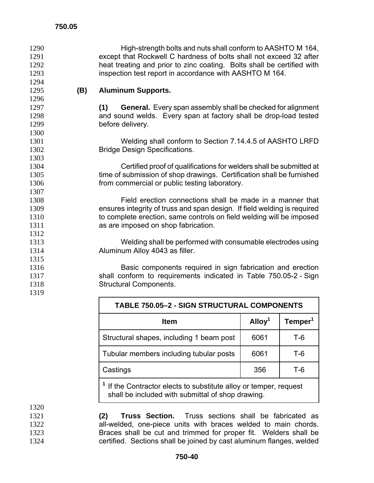| 1290         |     | High-strength bolts and nuts shall conform to AASHTO M 164,               |
|--------------|-----|---------------------------------------------------------------------------|
| 1291<br>1292 |     | except that Rockwell C hardness of bolts shall not exceed 32 after        |
| 1293         |     | heat treating and prior to zinc coating. Bolts shall be certified with    |
| 1294         |     | inspection test report in accordance with AASHTO M 164.                   |
|              |     |                                                                           |
| 1295<br>1296 | (B) | <b>Aluminum Supports.</b>                                                 |
|              |     |                                                                           |
| 1297         |     | (1)<br><b>General.</b> Every span assembly shall be checked for alignment |
| 1298         |     | and sound welds. Every span at factory shall be drop-load tested          |
| 1299         |     | before delivery.                                                          |
| 1300         |     |                                                                           |
| 1301         |     | Welding shall conform to Section 7.14.4.5 of AASHTO LRFD                  |
| 1302         |     | <b>Bridge Design Specifications.</b>                                      |
| 1303         |     |                                                                           |
| 1304         |     | Certified proof of qualifications for welders shall be submitted at       |
| 1305         |     | time of submission of shop drawings. Certification shall be furnished     |
| 1306         |     | from commercial or public testing laboratory.                             |
| 1307         |     |                                                                           |
| 1308         |     | Field erection connections shall be made in a manner that                 |
| 1309         |     | ensures integrity of truss and span design. If field welding is required  |
| 1310         |     | to complete erection, same controls on field welding will be imposed      |
| 1311         |     | as are imposed on shop fabrication.                                       |
| 1312         |     |                                                                           |
| 1313         |     | Welding shall be performed with consumable electrodes using               |
| 1314         |     | Aluminum Alloy 4043 as filler.                                            |
| 1315         |     |                                                                           |
| 1316         |     | Basic components required in sign fabrication and erection                |
| 1317         |     | shall conform to requirements indicated in Table 750.05-2 - Sign          |
| 1318         |     | <b>Structural Components.</b>                                             |
| 1319         |     |                                                                           |

| <b>TABLE 750.05-2 - SIGN STRUCTURAL COMPONENTS</b>                                                                                |                    |                     |  |  |  |  |
|-----------------------------------------------------------------------------------------------------------------------------------|--------------------|---------------------|--|--|--|--|
| <b>Item</b>                                                                                                                       | Alloy <sup>1</sup> | Temper <sup>1</sup> |  |  |  |  |
| Structural shapes, including 1 beam post                                                                                          | 6061               | T-6                 |  |  |  |  |
| Tubular members including tubular posts                                                                                           | 6061               | T-6                 |  |  |  |  |
| 356<br>T-6<br>Castings                                                                                                            |                    |                     |  |  |  |  |
| <sup>1</sup> If the Contractor elects to substitute alloy or temper, request<br>shall be included with submittal of shop drawing. |                    |                     |  |  |  |  |

**(2) Truss Section.** Truss sections shall be fabricated as **all-welded, one-piece units with braces welded to main chords.** Braces shall be cut and trimmed for proper fit. Welders shall be certified. Sections shall be joined by cast aluminum flanges, welded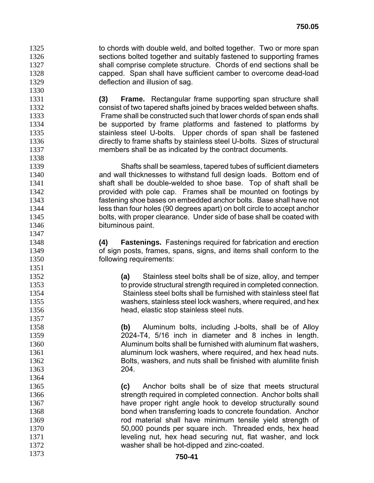1325 to chords with double weld, and bolted together. Two or more span sections bolted together and suitably fastened to supporting frames shall comprise complete structure. Chords of end sections shall be capped. Span shall have sufficient camber to overcome dead-load deflection and illusion of sag.

**(3) Frame.** Rectangular frame supporting span structure shall consist of two tapered shafts joined by braces welded between shafts. Frame shall be constructed such that lower chords of span ends shall be supported by frame platforms and fastened to platforms by stainless steel U-bolts. Upper chords of span shall be fastened directly to frame shafts by stainless steel U-bolts. Sizes of structural members shall be as indicated by the contract documents.

Shafts shall be seamless, tapered tubes of sufficient diameters and wall thicknesses to withstand full design loads. Bottom end of **Shaft shall be double-welded to shoe base.** Top of shaft shall be provided with pole cap. Frames shall be mounted on footings by fastening shoe bases on embedded anchor bolts. Base shall have not less than four holes (90 degrees apart) on bolt circle to accept anchor bolts, with proper clearance. Under side of base shall be coated with bituminous paint.

**(4) Fastenings.** Fastenings required for fabrication and erection of sign posts, frames, spans, signs, and items shall conform to the following requirements:

**(a)** Stainless steel bolts shall be of size, alloy, and temper to provide structural strength required in completed connection. Stainless steel bolts shall be furnished with stainless steel flat washers, stainless steel lock washers, where required, and hex head, elastic stop stainless steel nuts.

**(b)** Aluminum bolts, including J-bolts, shall be of Alloy 2024-T4, 5/16 inch in diameter and 8 inches in length. Aluminum bolts shall be furnished with aluminum flat washers, **aluminum lock washers, where required, and hex head nuts.** Bolts, washers, and nuts shall be finished with alumilite finish 204.

**(c)** Anchor bolts shall be of size that meets structural strength required in completed connection. Anchor bolts shall have proper right angle hook to develop structurally sound bond when transferring loads to concrete foundation. Anchor rod material shall have minimum tensile yield strength of 50,000 pounds per square inch. Threaded ends, hex head **leveling nut, hex head securing nut, flat washer, and lock** washer shall be hot-dipped and zinc-coated.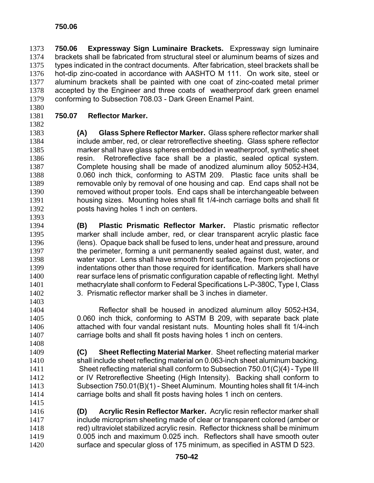**750.06 Expressway Sign Luminaire Brackets.** Expressway sign luminaire brackets shall be fabricated from structural steel or aluminum beams of sizes and types indicated in the contract documents. After fabrication, steel brackets shall be hot-dip zinc-coated in accordance with AASHTO M 111. On work site, steel or aluminum brackets shall be painted with one coat of zinc-coated metal primer accepted by the Engineer and three coats of weatherproof dark green enamel conforming to Subsection 708.03 - Dark Green Enamel Paint.

## **750.07 Reflector Marker.**

**(A) Glass Sphere Reflector Marker.** Glass sphere reflector marker shall include amber, red, or clear retroreflective sheeting. Glass sphere reflector marker shall have glass spheres embedded in weatherproof, synthetic sheet resin. Retroreflective face shall be a plastic, sealed optical system. Complete housing shall be made of anodized aluminum alloy 5052-H34, 0.060 inch thick, conforming to ASTM 209. Plastic face units shall be removable only by removal of one housing and cap. End caps shall not be removed without proper tools. End caps shall be interchangeable between housing sizes. Mounting holes shall fit 1/4-inch carriage bolts and shall fit posts having holes 1 inch on centers.

- **(B) Plastic Prismatic Reflector Marker.** Plastic prismatic reflector marker shall include amber, red, or clear transparent acrylic plastic face (lens). Opaque back shall be fused to lens, under heat and pressure, around 1397 the perimeter, forming a unit permanently sealed against dust, water, and water vapor. Lens shall have smooth front surface, free from projections or indentations other than those required for identification. Markers shall have rear surface lens of prismatic configuration capable of reflecting light. Methyl methacrylate shall conform to Federal Specifications L-P-380C, Type I, Class 3. Prismatic reflector marker shall be 3 inches in diameter.
- Reflector shall be housed in anodized aluminum alloy 5052-H34, 0.060 inch thick, conforming to ASTM B 209, with separate back plate attached with four vandal resistant nuts. Mounting holes shall fit 1/4-inch carriage bolts and shall fit posts having holes 1 inch on centers.
- 

**(C) Sheet Reflecting Material Marker**. Sheet reflecting material marker shall include sheet reflecting material on 0.063-inch sheet aluminum backing. Sheet reflecting material shall conform to Subsection 750.01(C)(4) - Type III or IV Retroreflective Sheeting (High Intensity). Backing shall conform to Subsection 750.01(B)(1) - Sheet Aluminum. Mounting holes shall fit 1/4-inch carriage bolts and shall fit posts having holes 1 inch on centers. 

**(D) Acrylic Resin Reflector Marker.** Acrylic resin reflector marker shall include microprism sheeting made of clear or transparent colored (amber or red) ultraviolet stabilized acrylic resin. Reflector thickness shall be minimum 0.005 inch and maximum 0.025 inch. Reflectors shall have smooth outer surface and specular gloss of 175 minimum, as specified in ASTM D 523.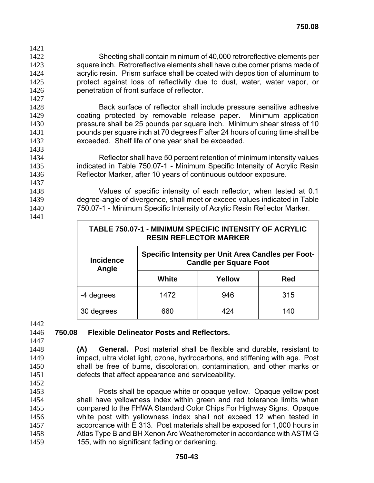- Sheeting shall contain minimum of 40,000 retroreflective elements per square inch. Retroreflective elements shall have cube corner prisms made of acrylic resin. Prism surface shall be coated with deposition of aluminum to protect against loss of reflectivity due to dust, water, water vapor, or penetration of front surface of reflector.
- Back surface of reflector shall include pressure sensitive adhesive coating protected by removable release paper. Minimum application pressure shall be 25 pounds per square inch. Minimum shear stress of 10 pounds per square inch at 70 degrees F after 24 hours of curing time shall be exceeded. Shelf life of one year shall be exceeded.
- Reflector shall have 50 percent retention of minimum intensity values indicated in Table 750.07-1 - Minimum Specific Intensity of Acrylic Resin Reflector Marker, after 10 years of continuous outdoor exposure.
- Values of specific intensity of each reflector, when tested at 0.1 degree-angle of divergence, shall meet or exceed values indicated in Table 750.07-1 - Minimum Specific Intensity of Acrylic Resin Reflector Marker.
- 

| TABLE 750.07-1 - MINIMUM SPECIFIC INTENSITY OF ACRYLIC<br><b>RESIN REFLECTOR MARKER</b>                                 |                    |     |  |  |  |  |  |
|-------------------------------------------------------------------------------------------------------------------------|--------------------|-----|--|--|--|--|--|
| <b>Specific Intensity per Unit Area Candles per Foot-</b><br><b>Incidence</b><br><b>Candle per Square Foot</b><br>Angle |                    |     |  |  |  |  |  |
|                                                                                                                         | White              | Red |  |  |  |  |  |
| -4 degrees                                                                                                              | 1472<br>946<br>315 |     |  |  |  |  |  |
| 30 degrees                                                                                                              | 424<br>660<br>140  |     |  |  |  |  |  |

## **750.08 Flexible Delineator Posts and Reflectors.**

- **(A) General.** Post material shall be flexible and durable, resistant to impact, ultra violet light, ozone, hydrocarbons, and stiffening with age. Post shall be free of burns, discoloration, contamination, and other marks or defects that affect appearance and serviceability.
- Posts shall be opaque white or opaque yellow. Opaque yellow post shall have yellowness index within green and red tolerance limits when compared to the FHWA Standard Color Chips For Highway Signs. Opaque white post with yellowness index shall not exceed 12 when tested in accordance with E 313. Post materials shall be exposed for 1,000 hours in Atlas Type B and BH Xenon Arc Weatherometer in accordance with ASTM G 155, with no significant fading or darkening.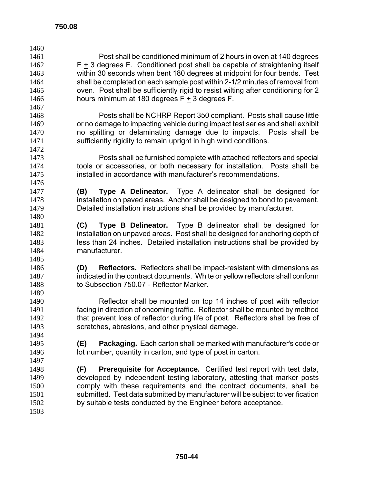| 1460 |                                                                                   |
|------|-----------------------------------------------------------------------------------|
| 1461 | Post shall be conditioned minimum of 2 hours in oven at 140 degrees               |
| 1462 | $F + 3$ degrees F. Conditioned post shall be capable of straightening itself      |
| 1463 | within 30 seconds when bent 180 degrees at midpoint for four bends. Test          |
| 1464 | shall be completed on each sample post within 2-1/2 minutes of removal from       |
| 1465 | oven. Post shall be sufficiently rigid to resist wilting after conditioning for 2 |
| 1466 | hours minimum at 180 degrees $F + 3$ degrees F.                                   |
| 1467 |                                                                                   |
| 1468 | Posts shall be NCHRP Report 350 compliant. Posts shall cause little               |
| 1469 | or no damage to impacting vehicle during impact test series and shall exhibit     |
| 1470 | no splitting or delaminating damage due to impacts. Posts shall be                |
| 1471 | sufficiently rigidity to remain upright in high wind conditions.                  |
| 1472 |                                                                                   |
| 1473 | Posts shall be furnished complete with attached reflectors and special            |
| 1474 | tools or accessories, or both necessary for installation. Posts shall be          |
| 1475 | installed in accordance with manufacturer's recommendations.                      |
| 1476 |                                                                                   |
| 1477 | Type A Delineator. Type A delineator shall be designed for<br>(B)                 |
| 1478 | installation on paved areas. Anchor shall be designed to bond to pavement.        |
| 1479 | Detailed installation instructions shall be provided by manufacturer.             |
| 1480 |                                                                                   |
| 1481 | Type B delineator shall be designed for<br>Type B Delineator.<br>(C)              |
| 1482 | installation on unpaved areas. Post shall be designed for anchoring depth of      |
| 1483 | less than 24 inches. Detailed installation instructions shall be provided by      |
| 1484 | manufacturer.                                                                     |
| 1485 |                                                                                   |
| 1486 | <b>Reflectors.</b> Reflectors shall be impact-resistant with dimensions as<br>(D) |
| 1487 | indicated in the contract documents. White or yellow reflectors shall conform     |
| 1488 | to Subsection 750.07 - Reflector Marker.                                          |
| 1489 |                                                                                   |
| 1490 | Reflector shall be mounted on top 14 inches of post with reflector                |
| 1491 | facing in direction of oncoming traffic. Reflector shall be mounted by method     |
| 1492 | that prevent loss of reflector during life of post. Reflectors shall be free of   |
| 1493 | scratches, abrasions, and other physical damage.                                  |
| 1494 |                                                                                   |
| 1495 | <b>Packaging.</b> Each carton shall be marked with manufacturer's code or<br>(E)  |
| 1496 | lot number, quantity in carton, and type of post in carton.                       |
| 1497 |                                                                                   |
| 1498 | <b>Prerequisite for Acceptance.</b> Certified test report with test data,<br>(F)  |
| 1499 | developed by independent testing laboratory, attesting that marker posts          |
| 1500 | comply with these requirements and the contract documents, shall be               |
| 1501 | submitted. Test data submitted by manufacturer will be subject to verification    |
| 1502 | by suitable tests conducted by the Engineer before acceptance.                    |
| 1503 |                                                                                   |
|      |                                                                                   |